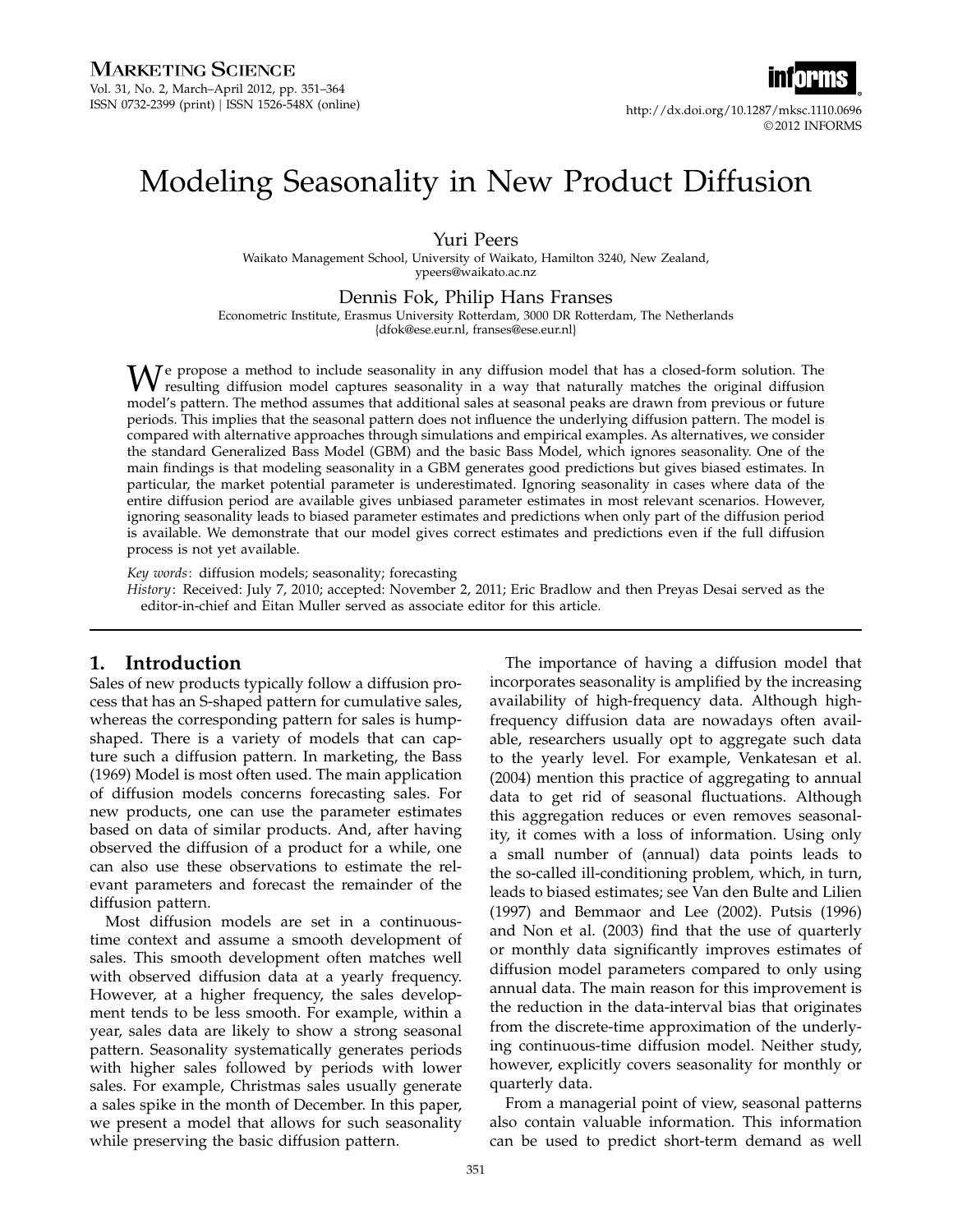

# Modeling Seasonality in New Product Diffusion

Yuri Peers

Waikato Management School, University of Waikato, Hamilton 3240, New Zealand, ypeers@waikato.ac.nz

Dennis Fok, Philip Hans Franses

Econometric Institute, Erasmus University Rotterdam, 3000 DR Rotterdam, The Netherlands

{dfok@ese.eur.nl, franses@ese.eur.nl}

We propose a method to include seasonality in any diffusion model that has a closed-form solution. The resulting diffusion model captures seasonality in a way that naturally matches the original diffusion model's pattern. The method assumes that additional sales at seasonal peaks are drawn from previous or future periods. This implies that the seasonal pattern does not influence the underlying diffusion pattern. The model is compared with alternative approaches through simulations and empirical examples. As alternatives, we consider the standard Generalized Bass Model (GBM) and the basic Bass Model, which ignores seasonality. One of the main findings is that modeling seasonality in a GBM generates good predictions but gives biased estimates. In particular, the market potential parameter is underestimated. Ignoring seasonality in cases where data of the entire diffusion period are available gives unbiased parameter estimates in most relevant scenarios. However, ignoring seasonality leads to biased parameter estimates and predictions when only part of the diffusion period is available. We demonstrate that our model gives correct estimates and predictions even if the full diffusion process is not yet available.

Key words: diffusion models; seasonality; forecasting

History: Received: July 7, 2010; accepted: November 2, 2011; Eric Bradlow and then Preyas Desai served as the editor-in-chief and Eitan Muller served as associate editor for this article.

## 1. Introduction

Sales of new products typically follow a diffusion process that has an S-shaped pattern for cumulative sales, whereas the corresponding pattern for sales is humpshaped. There is a variety of models that can capture such a diffusion pattern. In marketing, the Bass (1969) Model is most often used. The main application of diffusion models concerns forecasting sales. For new products, one can use the parameter estimates based on data of similar products. And, after having observed the diffusion of a product for a while, one can also use these observations to estimate the relevant parameters and forecast the remainder of the diffusion pattern.

Most diffusion models are set in a continuoustime context and assume a smooth development of sales. This smooth development often matches well with observed diffusion data at a yearly frequency. However, at a higher frequency, the sales development tends to be less smooth. For example, within a year, sales data are likely to show a strong seasonal pattern. Seasonality systematically generates periods with higher sales followed by periods with lower sales. For example, Christmas sales usually generate a sales spike in the month of December. In this paper, we present a model that allows for such seasonality while preserving the basic diffusion pattern.

The importance of having a diffusion model that incorporates seasonality is amplified by the increasing availability of high-frequency data. Although highfrequency diffusion data are nowadays often available, researchers usually opt to aggregate such data to the yearly level. For example, Venkatesan et al. (2004) mention this practice of aggregating to annual data to get rid of seasonal fluctuations. Although this aggregation reduces or even removes seasonality, it comes with a loss of information. Using only a small number of (annual) data points leads to the so-called ill-conditioning problem, which, in turn, leads to biased estimates; see Van den Bulte and Lilien (1997) and Bemmaor and Lee (2002). Putsis (1996) and Non et al. (2003) find that the use of quarterly or monthly data significantly improves estimates of diffusion model parameters compared to only using annual data. The main reason for this improvement is the reduction in the data-interval bias that originates from the discrete-time approximation of the underlying continuous-time diffusion model. Neither study, however, explicitly covers seasonality for monthly or quarterly data.

From a managerial point of view, seasonal patterns also contain valuable information. This information can be used to predict short-term demand as well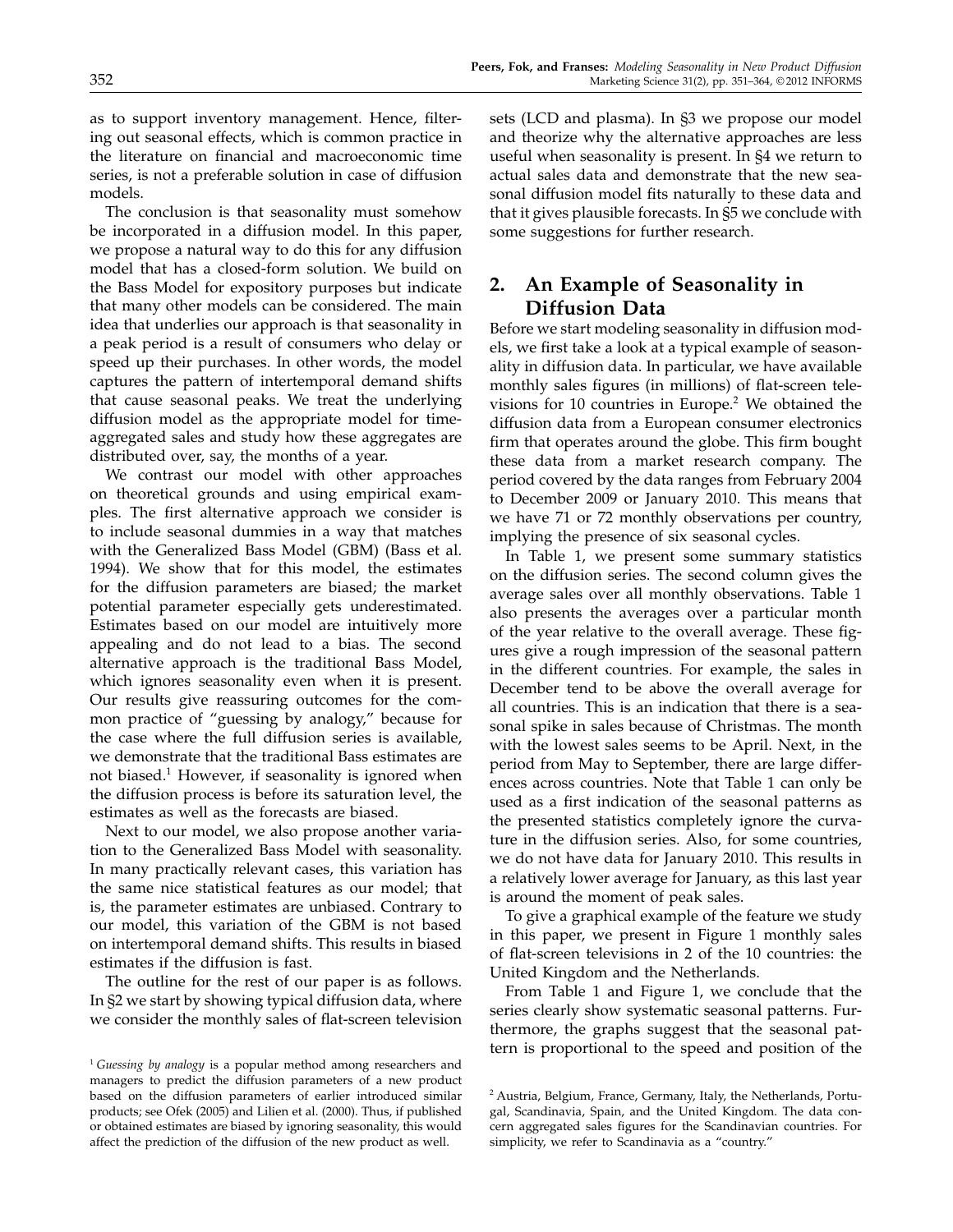as to support inventory management. Hence, filtering out seasonal effects, which is common practice in the literature on financial and macroeconomic time series, is not a preferable solution in case of diffusion models.

The conclusion is that seasonality must somehow be incorporated in a diffusion model. In this paper, we propose a natural way to do this for any diffusion model that has a closed-form solution. We build on the Bass Model for expository purposes but indicate that many other models can be considered. The main idea that underlies our approach is that seasonality in a peak period is a result of consumers who delay or speed up their purchases. In other words, the model captures the pattern of intertemporal demand shifts that cause seasonal peaks. We treat the underlying diffusion model as the appropriate model for timeaggregated sales and study how these aggregates are distributed over, say, the months of a year.

We contrast our model with other approaches on theoretical grounds and using empirical examples. The first alternative approach we consider is to include seasonal dummies in a way that matches with the Generalized Bass Model (GBM) (Bass et al. 1994). We show that for this model, the estimates for the diffusion parameters are biased; the market potential parameter especially gets underestimated. Estimates based on our model are intuitively more appealing and do not lead to a bias. The second alternative approach is the traditional Bass Model, which ignores seasonality even when it is present. Our results give reassuring outcomes for the common practice of "guessing by analogy," because for the case where the full diffusion series is available, we demonstrate that the traditional Bass estimates are not biased.<sup>1</sup> However, if seasonality is ignored when the diffusion process is before its saturation level, the estimates as well as the forecasts are biased.

Next to our model, we also propose another variation to the Generalized Bass Model with seasonality. In many practically relevant cases, this variation has the same nice statistical features as our model; that is, the parameter estimates are unbiased. Contrary to our model, this variation of the GBM is not based on intertemporal demand shifts. This results in biased estimates if the diffusion is fast.

The outline for the rest of our paper is as follows. In §2 we start by showing typical diffusion data, where we consider the monthly sales of flat-screen television sets (LCD and plasma). In §3 we propose our model and theorize why the alternative approaches are less useful when seasonality is present. In §4 we return to actual sales data and demonstrate that the new seasonal diffusion model fits naturally to these data and that it gives plausible forecasts. In §5 we conclude with some suggestions for further research.

# 2. An Example of Seasonality in Diffusion Data

Before we start modeling seasonality in diffusion models, we first take a look at a typical example of seasonality in diffusion data. In particular, we have available monthly sales figures (in millions) of flat-screen televisions for 10 countries in Europe.<sup>2</sup> We obtained the diffusion data from a European consumer electronics firm that operates around the globe. This firm bought these data from a market research company. The period covered by the data ranges from February 2004 to December 2009 or January 2010. This means that we have 71 or 72 monthly observations per country, implying the presence of six seasonal cycles.

In Table 1, we present some summary statistics on the diffusion series. The second column gives the average sales over all monthly observations. Table 1 also presents the averages over a particular month of the year relative to the overall average. These figures give a rough impression of the seasonal pattern in the different countries. For example, the sales in December tend to be above the overall average for all countries. This is an indication that there is a seasonal spike in sales because of Christmas. The month with the lowest sales seems to be April. Next, in the period from May to September, there are large differences across countries. Note that Table 1 can only be used as a first indication of the seasonal patterns as the presented statistics completely ignore the curvature in the diffusion series. Also, for some countries, we do not have data for January 2010. This results in a relatively lower average for January, as this last year is around the moment of peak sales.

To give a graphical example of the feature we study in this paper, we present in Figure 1 monthly sales of flat-screen televisions in 2 of the 10 countries: the United Kingdom and the Netherlands.

From Table 1 and Figure 1, we conclude that the series clearly show systematic seasonal patterns. Furthermore, the graphs suggest that the seasonal pattern is proportional to the speed and position of the

<sup>&</sup>lt;sup>1</sup> Guessing by analogy is a popular method among researchers and managers to predict the diffusion parameters of a new product based on the diffusion parameters of earlier introduced similar products; see Ofek (2005) and Lilien et al. (2000). Thus, if published or obtained estimates are biased by ignoring seasonality, this would affect the prediction of the diffusion of the new product as well.

<sup>2</sup> Austria, Belgium, France, Germany, Italy, the Netherlands, Portugal, Scandinavia, Spain, and the United Kingdom. The data concern aggregated sales figures for the Scandinavian countries. For simplicity, we refer to Scandinavia as a "country."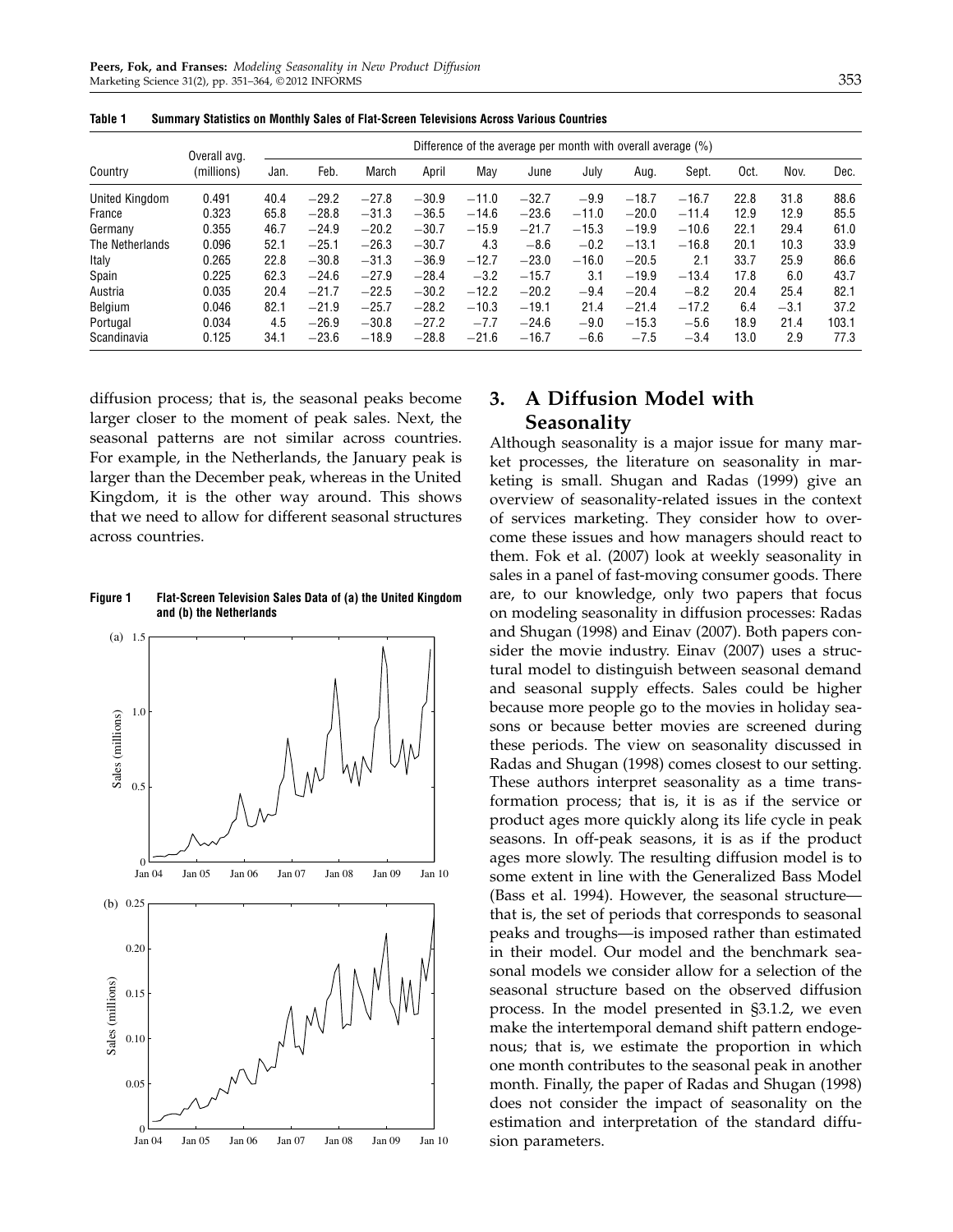|                 | Overall avg. | Difference of the average per month with overall average (%) |         |         |         |         |         |         |         |         |      |        |       |
|-----------------|--------------|--------------------------------------------------------------|---------|---------|---------|---------|---------|---------|---------|---------|------|--------|-------|
| Country         | (millions)   | Jan.                                                         | Feb.    | March   | April   | May     | June    | July    | Aug.    | Sept.   | Oct. | Nov.   | Dec.  |
| United Kingdom  | 0.491        | 40.4                                                         | $-29.2$ | $-27.8$ | $-30.9$ | $-11.0$ | $-32.7$ | $-9.9$  | $-18.7$ | $-16.7$ | 22.8 | 31.8   | 88.6  |
| France          | 0.323        | 65.8                                                         | $-28.8$ | $-31.3$ | $-36.5$ | $-14.6$ | $-23.6$ | $-11.0$ | $-20.0$ | $-11.4$ | 12.9 | 12.9   | 85.5  |
| Germany         | 0.355        | 46.7                                                         | $-24.9$ | $-20.2$ | $-30.7$ | $-15.9$ | $-21.7$ | $-15.3$ | $-19.9$ | $-10.6$ | 22.1 | 29.4   | 61.0  |
| The Netherlands | 0.096        | 52.1                                                         | $-25.1$ | $-26.3$ | $-30.7$ | 4.3     | $-8.6$  | $-0.2$  | $-13.1$ | $-16.8$ | 20.1 | 10.3   | 33.9  |
| Italy           | 0.265        | 22.8                                                         | $-30.8$ | $-31.3$ | $-36.9$ | $-12.7$ | $-23.0$ | $-16.0$ | $-20.5$ | 2.1     | 33.7 | 25.9   | 86.6  |
| Spain           | 0.225        | 62.3                                                         | $-24.6$ | $-27.9$ | $-28.4$ | $-3.2$  | $-15.7$ | 3.1     | $-19.9$ | $-13.4$ | 17.8 | 6.0    | 43.7  |
| Austria         | 0.035        | 20.4                                                         | $-21.7$ | $-22.5$ | $-30.2$ | $-12.2$ | $-20.2$ | $-9.4$  | $-20.4$ | $-8.2$  | 20.4 | 25.4   | 82.1  |
| Belgium         | 0.046        | 82.1                                                         | $-21.9$ | $-25.7$ | $-28.2$ | $-10.3$ | $-19.1$ | 21.4    | $-21.4$ | $-17.2$ | 6.4  | $-3.1$ | 37.2  |
| Portugal        | 0.034        | 4.5                                                          | $-26.9$ | $-30.8$ | $-27.2$ | $-7.7$  | $-24.6$ | $-9.0$  | $-15.3$ | $-5.6$  | 18.9 | 21.4   | 103.1 |
| Scandinavia     | 0.125        | 34.1                                                         | $-23.6$ | $-18.9$ | $-28.8$ | $-21.6$ | $-16.7$ | $-6.6$  | $-7.5$  | $-3.4$  | 13.0 | 2.9    | 77.3  |

Table 1 Summary Statistics on Monthly Sales of Flat-Screen Televisions Across Various Countries

diffusion process; that is, the seasonal peaks become larger closer to the moment of peak sales. Next, the seasonal patterns are not similar across countries. For example, in the Netherlands, the January peak is larger than the December peak, whereas in the United Kingdom, it is the other way around. This shows that we need to allow for different seasonal structures across countries.

Figure 1 Flat-Screen Television Sales Data of (a) the United Kingdom and (b) the Netherlands



# 3. A Diffusion Model with Seasonality

Although seasonality is a major issue for many market processes, the literature on seasonality in marketing is small. Shugan and Radas (1999) give an overview of seasonality-related issues in the context of services marketing. They consider how to overcome these issues and how managers should react to them. Fok et al. (2007) look at weekly seasonality in sales in a panel of fast-moving consumer goods. There are, to our knowledge, only two papers that focus on modeling seasonality in diffusion processes: Radas and Shugan (1998) and Einav (2007). Both papers consider the movie industry. Einav (2007) uses a structural model to distinguish between seasonal demand and seasonal supply effects. Sales could be higher because more people go to the movies in holiday seasons or because better movies are screened during these periods. The view on seasonality discussed in Radas and Shugan (1998) comes closest to our setting. These authors interpret seasonality as a time transformation process; that is, it is as if the service or product ages more quickly along its life cycle in peak seasons. In off-peak seasons, it is as if the product ages more slowly. The resulting diffusion model is to some extent in line with the Generalized Bass Model (Bass et al. 1994). However, the seasonal structure that is, the set of periods that corresponds to seasonal peaks and troughs—is imposed rather than estimated in their model. Our model and the benchmark seasonal models we consider allow for a selection of the seasonal structure based on the observed diffusion process. In the model presented in §3.1.2, we even make the intertemporal demand shift pattern endogenous; that is, we estimate the proportion in which one month contributes to the seasonal peak in another month. Finally, the paper of Radas and Shugan (1998) does not consider the impact of seasonality on the estimation and interpretation of the standard diffusion parameters.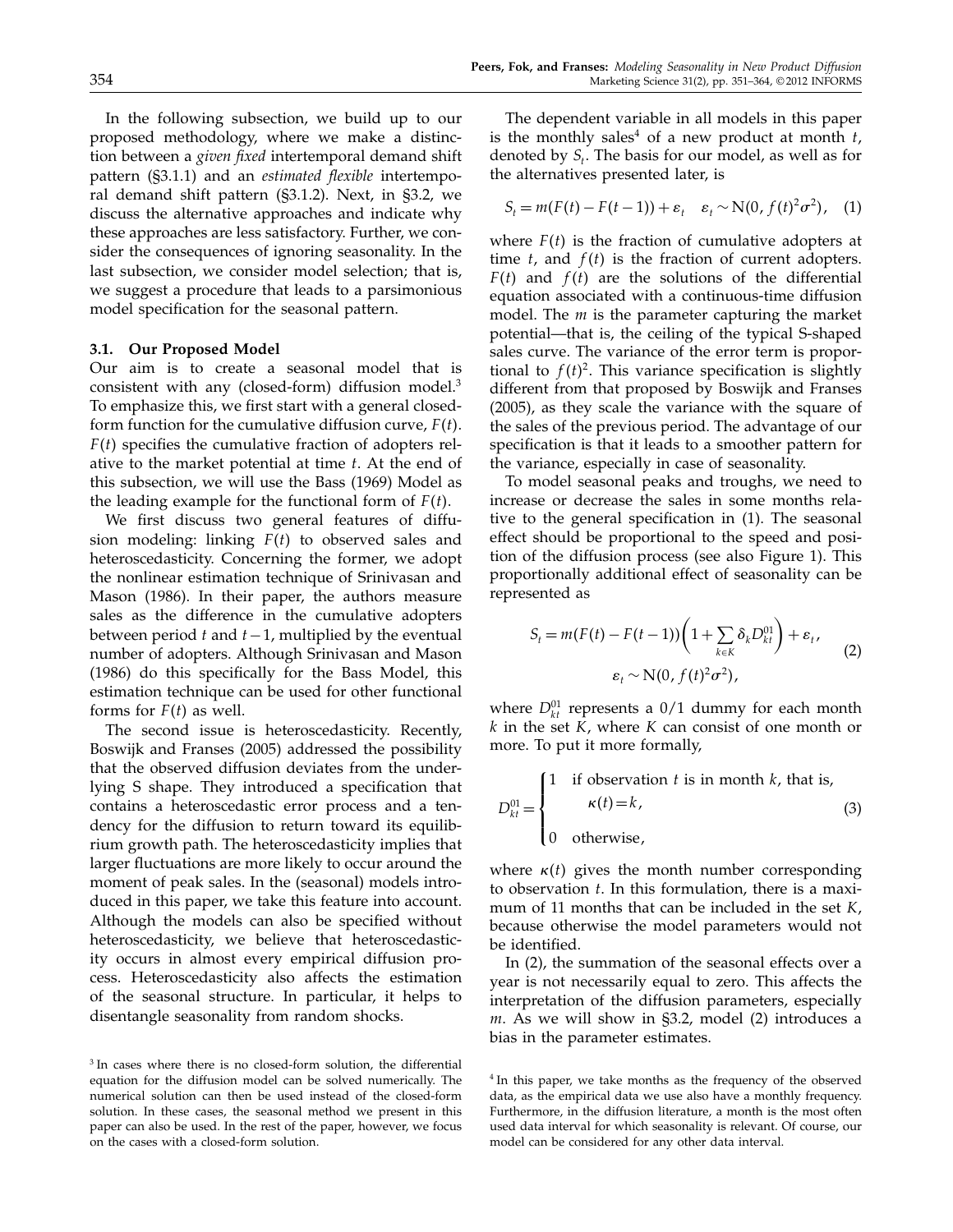In the following subsection, we build up to our proposed methodology, where we make a distinction between a *given fixed* intertemporal demand shift pattern (§3.1.1) and an estimated flexible intertemporal demand shift pattern (§3.1.2). Next, in §3.2, we discuss the alternative approaches and indicate why these approaches are less satisfactory. Further, we consider the consequences of ignoring seasonality. In the last subsection, we consider model selection; that is, we suggest a procedure that leads to a parsimonious model specification for the seasonal pattern.

#### 3.1. Our Proposed Model

Our aim is to create a seasonal model that is consistent with any (closed-form) diffusion model.<sup>3</sup> To emphasize this, we first start with a general closedform function for the cumulative diffusion curve,  $F(t)$ .  $F(t)$  specifies the cumulative fraction of adopters relative to the market potential at time t. At the end of this subsection, we will use the Bass (1969) Model as the leading example for the functional form of  $F(t)$ .

We first discuss two general features of diffusion modeling: linking  $F(t)$  to observed sales and heteroscedasticity. Concerning the former, we adopt the nonlinear estimation technique of Srinivasan and Mason (1986). In their paper, the authors measure sales as the difference in the cumulative adopters between period t and  $t-1$ , multiplied by the eventual number of adopters. Although Srinivasan and Mason (1986) do this specifically for the Bass Model, this estimation technique can be used for other functional forms for  $F(t)$  as well.

The second issue is heteroscedasticity. Recently, Boswijk and Franses (2005) addressed the possibility that the observed diffusion deviates from the underlying S shape. They introduced a specification that contains a heteroscedastic error process and a tendency for the diffusion to return toward its equilibrium growth path. The heteroscedasticity implies that larger fluctuations are more likely to occur around the moment of peak sales. In the (seasonal) models introduced in this paper, we take this feature into account. Although the models can also be specified without heteroscedasticity, we believe that heteroscedasticity occurs in almost every empirical diffusion process. Heteroscedasticity also affects the estimation of the seasonal structure. In particular, it helps to disentangle seasonality from random shocks.

The dependent variable in all models in this paper is the monthly sales<sup>4</sup> of a new product at month  $t$ , denoted by  $S_t$ . The basis for our model, as well as for the alternatives presented later, is

$$
S_t = m(F(t) - F(t-1)) + \varepsilon_t \quad \varepsilon_t \sim N(0, f(t)^2 \sigma^2), \quad (1)
$$

where  $F(t)$  is the fraction of cumulative adopters at time  $t$ , and  $f(t)$  is the fraction of current adopters.  $F(t)$  and  $f(t)$  are the solutions of the differential equation associated with a continuous-time diffusion model. The  $m$  is the parameter capturing the market potential—that is, the ceiling of the typical S-shaped sales curve. The variance of the error term is proportional to  $f(t)^2$ . This variance specification is slightly different from that proposed by Boswijk and Franses (2005), as they scale the variance with the square of the sales of the previous period. The advantage of our specification is that it leads to a smoother pattern for the variance, especially in case of seasonality.

To model seasonal peaks and troughs, we need to increase or decrease the sales in some months relative to the general specification in (1). The seasonal effect should be proportional to the speed and position of the diffusion process (see also Figure 1). This proportionally additional effect of seasonality can be represented as

$$
S_t = m(F(t) - F(t-1)) \left( 1 + \sum_{k \in K} \delta_k D_{kt}^{01} \right) + \varepsilon_t,
$$
  

$$
\varepsilon_t \sim N(0, f(t)^2 \sigma^2),
$$
 (2)

where  $D_{kt}^{01}$  represents a  $0/1$  dummy for each month  $k$  in the set  $K$ , where  $K$  can consist of one month or more. To put it more formally,

$$
D_{kt}^{01} = \begin{cases} 1 & \text{if observation } t \text{ is in month } k \text{, that is,} \\ \kappa(t) = k, \\ 0 & \text{otherwise,} \end{cases} \tag{3}
$$

where  $\kappa(t)$  gives the month number corresponding to observation  $t$ . In this formulation, there is a maximum of 11 months that can be included in the set  $K$ , because otherwise the model parameters would not be identified.

In (2), the summation of the seasonal effects over a year is not necessarily equal to zero. This affects the interpretation of the diffusion parameters, especially  $m$ . As we will show in §3.2, model (2) introduces a bias in the parameter estimates.

<sup>3</sup> In cases where there is no closed-form solution, the differential equation for the diffusion model can be solved numerically. The numerical solution can then be used instead of the closed-form solution. In these cases, the seasonal method we present in this paper can also be used. In the rest of the paper, however, we focus on the cases with a closed-form solution.

<sup>&</sup>lt;sup>4</sup> In this paper, we take months as the frequency of the observed data, as the empirical data we use also have a monthly frequency. Furthermore, in the diffusion literature, a month is the most often used data interval for which seasonality is relevant. Of course, our model can be considered for any other data interval.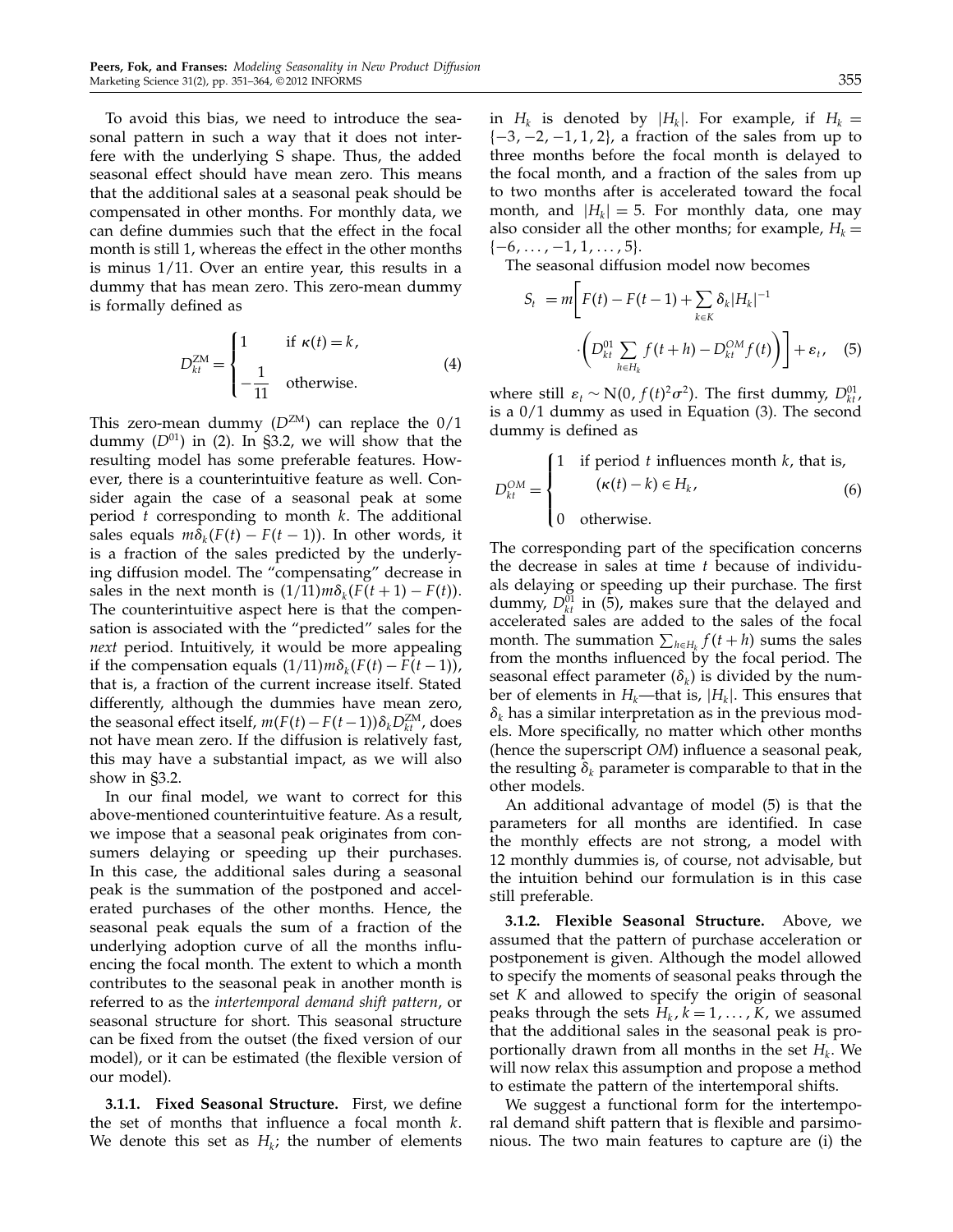To avoid this bias, we need to introduce the seasonal pattern in such a way that it does not interfere with the underlying S shape. Thus, the added seasonal effect should have mean zero. This means that the additional sales at a seasonal peak should be compensated in other months. For monthly data, we can define dummies such that the effect in the focal month is still 1, whereas the effect in the other months is minus 1/11. Over an entire year, this results in a dummy that has mean zero. This zero-mean dummy is formally defined as

$$
D_{kt}^{ZM} = \begin{cases} 1 & \text{if } \kappa(t) = k, \\ -\frac{1}{11} & \text{otherwise.} \end{cases}
$$
 (4)

This zero-mean dummy  $(D^{ZM})$  can replace the  $0/1$ dummy  $(D^{01})$  in (2). In §3.2, we will show that the resulting model has some preferable features. However, there is a counterintuitive feature as well. Consider again the case of a seasonal peak at some period  $t$  corresponding to month  $k$ . The additional sales equals  $m\delta_k(F(t) - F(t-1))$ . In other words, it is a fraction of the sales predicted by the underlying diffusion model. The "compensating" decrease in sales in the next month is  $(1/11)m\delta_k(F(t+1) - F(t)).$ The counterintuitive aspect here is that the compensation is associated with the "predicted" sales for the next period. Intuitively, it would be more appealing if the compensation equals  $(1/11)m\delta_k(F(t) - F(t-1)),$ that is, a fraction of the current increase itself. Stated differently, although the dummies have mean zero, the seasonal effect itself,  $m(F(t) - F(t-1))\delta_kD_{kt}^{ZM}$ , does not have mean zero. If the diffusion is relatively fast, this may have a substantial impact, as we will also show in §3.2.

In our final model, we want to correct for this above-mentioned counterintuitive feature. As a result, we impose that a seasonal peak originates from consumers delaying or speeding up their purchases. In this case, the additional sales during a seasonal peak is the summation of the postponed and accelerated purchases of the other months. Hence, the seasonal peak equals the sum of a fraction of the underlying adoption curve of all the months influencing the focal month. The extent to which a month contributes to the seasonal peak in another month is referred to as the intertemporal demand shift pattern, or seasonal structure for short. This seasonal structure can be fixed from the outset (the fixed version of our model), or it can be estimated (the flexible version of our model).

3.1.1. Fixed Seasonal Structure. First, we define the set of months that influence a focal month  $k$ . We denote this set as  $H_k$ ; the number of elements

in  $H_k$  is denoted by  $|H_k|$ . For example, if  $H_k =$  $\{-3,-2,-1,1,2\}$ , a fraction of the sales from up to three months before the focal month is delayed to the focal month, and a fraction of the sales from up to two months after is accelerated toward the focal month, and  $|H_k| = 5$ . For monthly data, one may also consider all the other months; for example,  $H_k =$  $\{-6,\ldots,-1,1,\ldots,5\}.$ 

The seasonal diffusion model now becomes

$$
S_{t} = m \bigg[ F(t) - F(t-1) + \sum_{k \in K} \delta_{k} |H_{k}|^{-1} \cdot \bigg( D_{kt}^{01} \sum_{h \in H_{k}} f(t+h) - D_{kt}^{0M} f(t) \bigg) \bigg] + \varepsilon_{t}, \quad (5)
$$

where still  $\varepsilon_t \sim \mathcal{N}(0, f(t)^2 \sigma^2)$ . The first dummy,  $D_{kt}^{01}$ , is a 0/1 dummy as used in Equation (3). The second dummy is defined as

$$
D_{kt}^{OM} = \begin{cases} 1 & \text{if period } t \text{ influences month } k \text{, that is,} \\ ( \kappa(t) - k ) \in H_k \text{,} \\ 0 & \text{otherwise.} \end{cases} \tag{6}
$$

The corresponding part of the specification concerns the decrease in sales at time  $t$  because of individuals delaying or speeding up their purchase. The first dummy,  $D_{kt}^{01}$  in (5), makes sure that the delayed and accelerated sales are added to the sales of the focal month. The summation  $\sum_{h \in H_k} f(t+h)$  sums the sales from the months influenced by the focal period. The seasonal effect parameter  $(\delta_k)$  is divided by the number of elements in  $H_k$ —that is,  $|H_k|$ . This ensures that  $\delta_k$  has a similar interpretation as in the previous models. More specifically, no matter which other months (hence the superscript OM) influence a seasonal peak, the resulting  $\delta_k$  parameter is comparable to that in the other models.

An additional advantage of model (5) is that the parameters for all months are identified. In case the monthly effects are not strong, a model with 12 monthly dummies is, of course, not advisable, but the intuition behind our formulation is in this case still preferable.

3.1.2. Flexible Seasonal Structure. Above, we assumed that the pattern of purchase acceleration or postponement is given. Although the model allowed to specify the moments of seasonal peaks through the set K and allowed to specify the origin of seasonal peaks through the sets  $H_k$ ,  $k = 1, ..., K$ , we assumed that the additional sales in the seasonal peak is proportionally drawn from all months in the set  $H_k$ . We will now relax this assumption and propose a method to estimate the pattern of the intertemporal shifts.

We suggest a functional form for the intertemporal demand shift pattern that is flexible and parsimonious. The two main features to capture are (i) the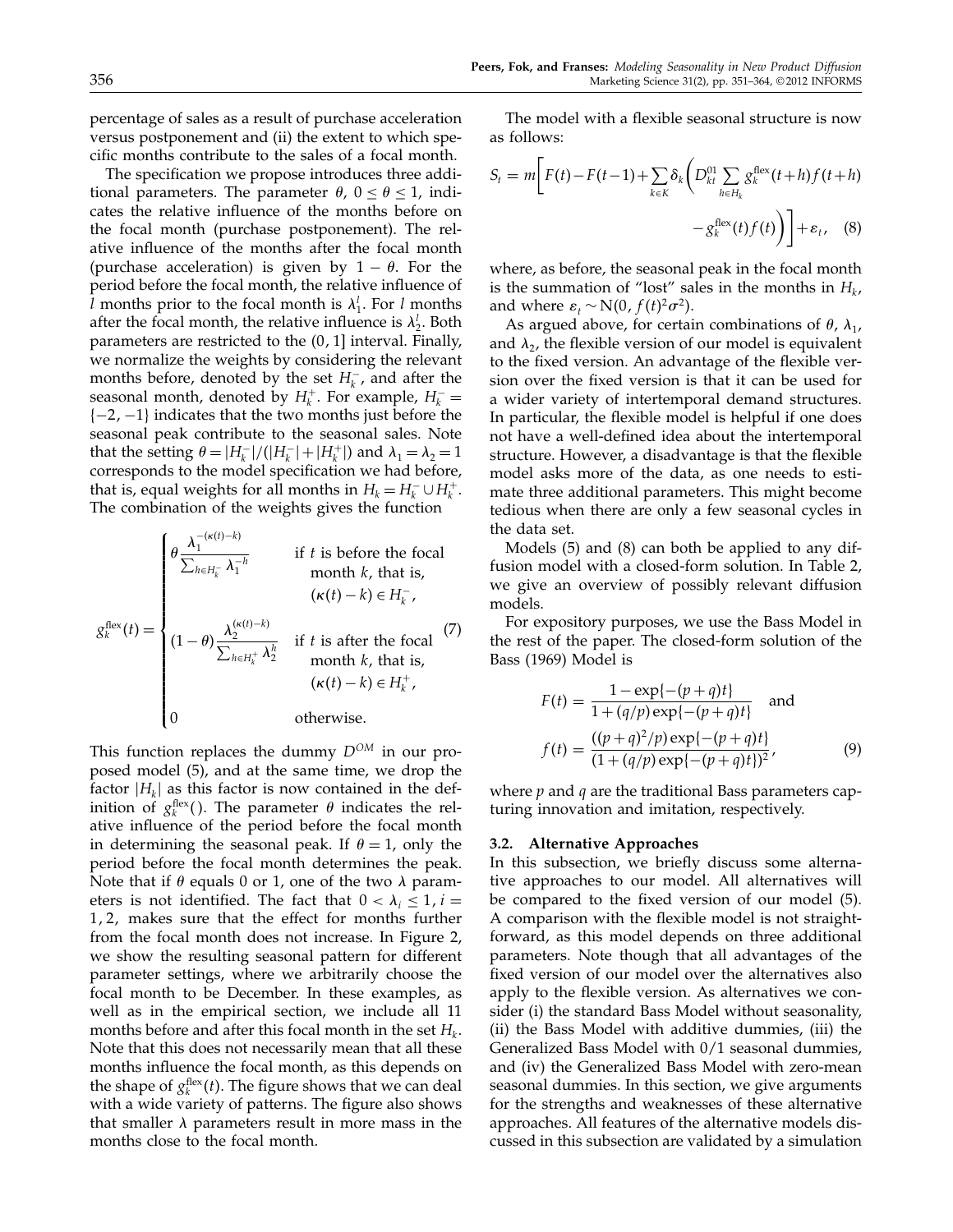The specification we propose introduces three additional parameters. The parameter  $\theta$ ,  $0 \le \theta \le 1$ , indicates the relative influence of the months before on the focal month (purchase postponement). The relative influence of the months after the focal month (purchase acceleration) is given by  $1 - \theta$ . For the period before the focal month, the relative influence of *l* months prior to the focal month is  $\lambda_1^l$ . For *l* months after the focal month, the relative influence is  $\lambda_2^l$ . Both parameters are restricted to the  $(0, 1]$  interval. Finally, we normalize the weights by considering the relevant months before, denoted by the set  $H_k^-$ , and after the seasonal month, denoted by  $H_k^+$ . For example,  $H_k^-$  =  ${-2, -1}$  indicates that the two months just before the seasonal peak contribute to the seasonal sales. Note that the setting  $\theta = |H_k^-|/(|H_k^-| + |H_k^+|)$  and  $\lambda_1 = \lambda_2 = 1$ corresponds to the model specification we had before, that is, equal weights for all months in  $H_k = H_k^- \cup H_k^+$ . The combination of the weights gives the function

$$
g_k^{\text{flex}}(t) = \begin{cases} \theta \frac{\lambda_1^{-(\kappa(t)-k)}}{\sum_{h \in H_k^-} \lambda_1^{-h}} & \text{if } t \text{ is before the focal} \\ \text{month } k, \text{ that is,} \\ (\kappa(t)-k) \in H_k^-, \\ (1-\theta) \frac{\lambda_2^{(\kappa(t)-k)}}{\sum_{h \in H_k^+} \lambda_2^h} & \text{if } t \text{ is after the focal} \\ \text{month } k, \text{ that is,} \\ (\kappa(t)-k) \in H_k^+, \\ 0 & \text{otherwise.} \end{cases} \tag{7}
$$

This function replaces the dummy  $D^{OM}$  in our proposed model (5), and at the same time, we drop the factor  $|H_k|$  as this factor is now contained in the definition of  $g_k^{\text{flex}}(.)$ . The parameter  $\theta$  indicates the relative influence of the period before the focal month in determining the seasonal peak. If  $\theta = 1$ , only the period before the focal month determines the peak. Note that if  $\theta$  equals 0 or 1, one of the two  $\lambda$  parameters is not identified. The fact that  $0 < \lambda_i \leq 1, i =$  $1, 2$ , makes sure that the effect for months further from the focal month does not increase. In Figure 2, we show the resulting seasonal pattern for different parameter settings, where we arbitrarily choose the focal month to be December. In these examples, as well as in the empirical section, we include all 11 months before and after this focal month in the set  $H_k$ . Note that this does not necessarily mean that all these months influence the focal month, as this depends on the shape of  $g_k^{\text{flex}}(t)$ . The figure shows that we can deal with a wide variety of patterns. The figure also shows that smaller  $\lambda$  parameters result in more mass in the months close to the focal month.

The model with a flexible seasonal structure is now as follows:

$$
S_t = m \bigg[ F(t) - F(t-1) + \sum_{k \in K} \delta_k \bigg( D_{kt}^{01} \sum_{h \in H_k} g_k^{\text{flex}}(t+h) f(t+h) - g_k^{\text{flex}}(t) f(t) \bigg) \bigg] + \varepsilon_t, \quad (8)
$$

where, as before, the seasonal peak in the focal month is the summation of "lost" sales in the months in  $H_k$ , and where  $\varepsilon_t \sim N(0, f(t)^2 \sigma^2)$ .

As argued above, for certain combinations of  $\theta$ ,  $\lambda_1$ , and  $\lambda_2$ , the flexible version of our model is equivalent to the fixed version. An advantage of the flexible version over the fixed version is that it can be used for a wider variety of intertemporal demand structures. In particular, the flexible model is helpful if one does not have a well-defined idea about the intertemporal structure. However, a disadvantage is that the flexible model asks more of the data, as one needs to estimate three additional parameters. This might become tedious when there are only a few seasonal cycles in the data set.

Models (5) and (8) can both be applied to any diffusion model with a closed-form solution. In Table 2, we give an overview of possibly relevant diffusion models.

For expository purposes, we use the Bass Model in the rest of the paper. The closed-form solution of the Bass (1969) Model is

$$
F(t) = \frac{1 - \exp\{-(p+q)t\}}{1 + (q/p)\exp\{-(p+q)t\}}
$$
 and  

$$
f(t) = \frac{((p+q)^2/p)\exp\{-(p+q)t\}}{(1 + (q/p)\exp\{-(p+q)t\})^2},
$$
 (9)

where  $p$  and  $q$  are the traditional Bass parameters capturing innovation and imitation, respectively.

#### 3.2. Alternative Approaches

In this subsection, we briefly discuss some alternative approaches to our model. All alternatives will be compared to the fixed version of our model (5). A comparison with the flexible model is not straightforward, as this model depends on three additional parameters. Note though that all advantages of the fixed version of our model over the alternatives also apply to the flexible version. As alternatives we consider (i) the standard Bass Model without seasonality, (ii) the Bass Model with additive dummies, (iii) the Generalized Bass Model with 0/1 seasonal dummies, and (iv) the Generalized Bass Model with zero-mean seasonal dummies. In this section, we give arguments for the strengths and weaknesses of these alternative approaches. All features of the alternative models discussed in this subsection are validated by a simulation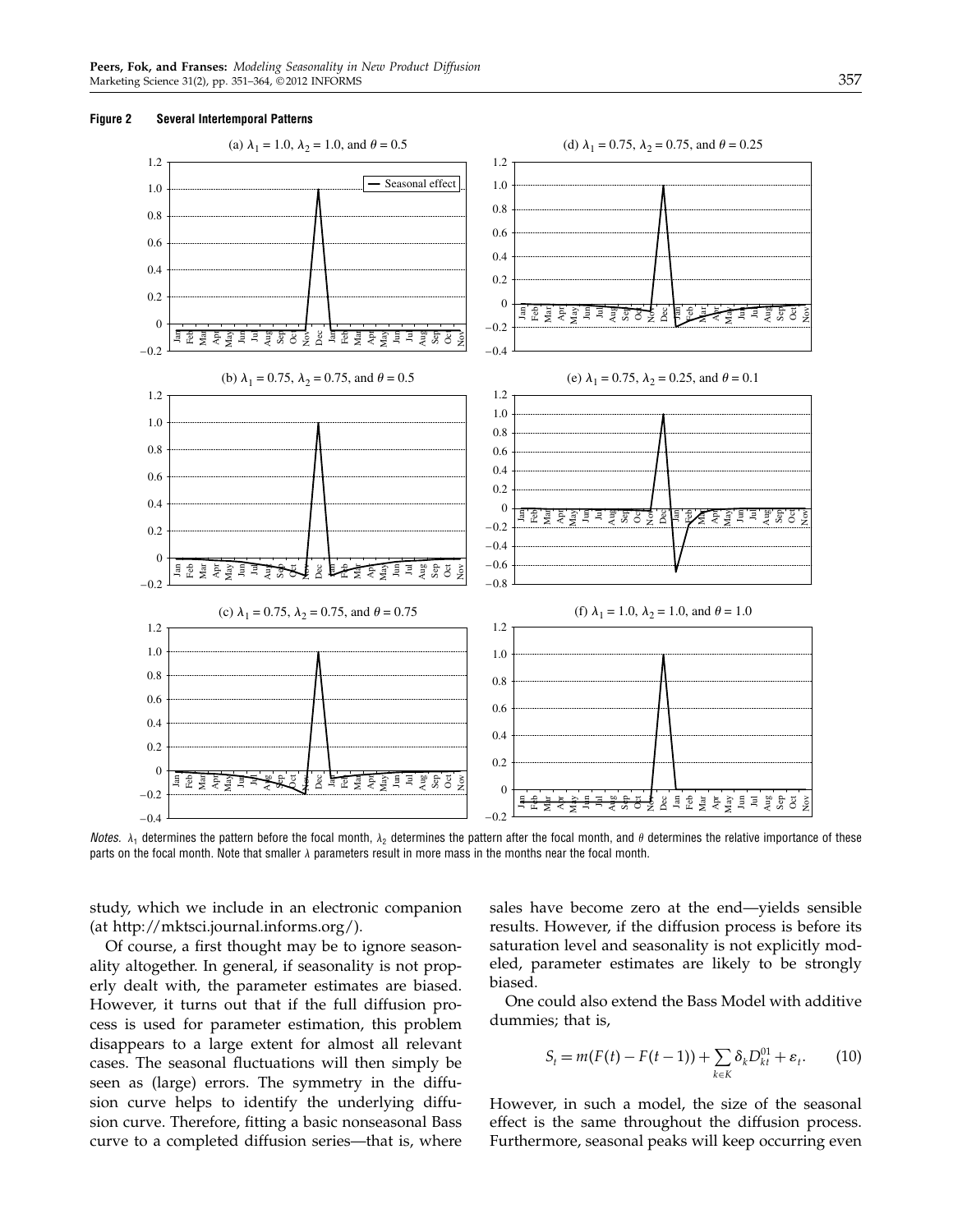



Notes.  $\lambda_1$  determines the pattern before the focal month,  $\lambda_2$  determines the pattern after the focal month, and  $\theta$  determines the relative importance of these parts on the focal month. Note that smaller  $\lambda$  parameters result in more mass in the months near the focal month.

study, which we include in an electronic companion (at http://mktsci.journal.informs.org/).

Of course, a first thought may be to ignore seasonality altogether. In general, if seasonality is not properly dealt with, the parameter estimates are biased. However, it turns out that if the full diffusion process is used for parameter estimation, this problem disappears to a large extent for almost all relevant cases. The seasonal fluctuations will then simply be seen as (large) errors. The symmetry in the diffusion curve helps to identify the underlying diffusion curve. Therefore, fitting a basic nonseasonal Bass curve to a completed diffusion series—that is, where sales have become zero at the end—yields sensible results. However, if the diffusion process is before its saturation level and seasonality is not explicitly modeled, parameter estimates are likely to be strongly biased.

One could also extend the Bass Model with additive dummies; that is,

$$
S_t = m(F(t) - F(t-1)) + \sum_{k \in K} \delta_k D_{kt}^{01} + \varepsilon_t.
$$
 (10)

However, in such a model, the size of the seasonal effect is the same throughout the diffusion process. Furthermore, seasonal peaks will keep occurring even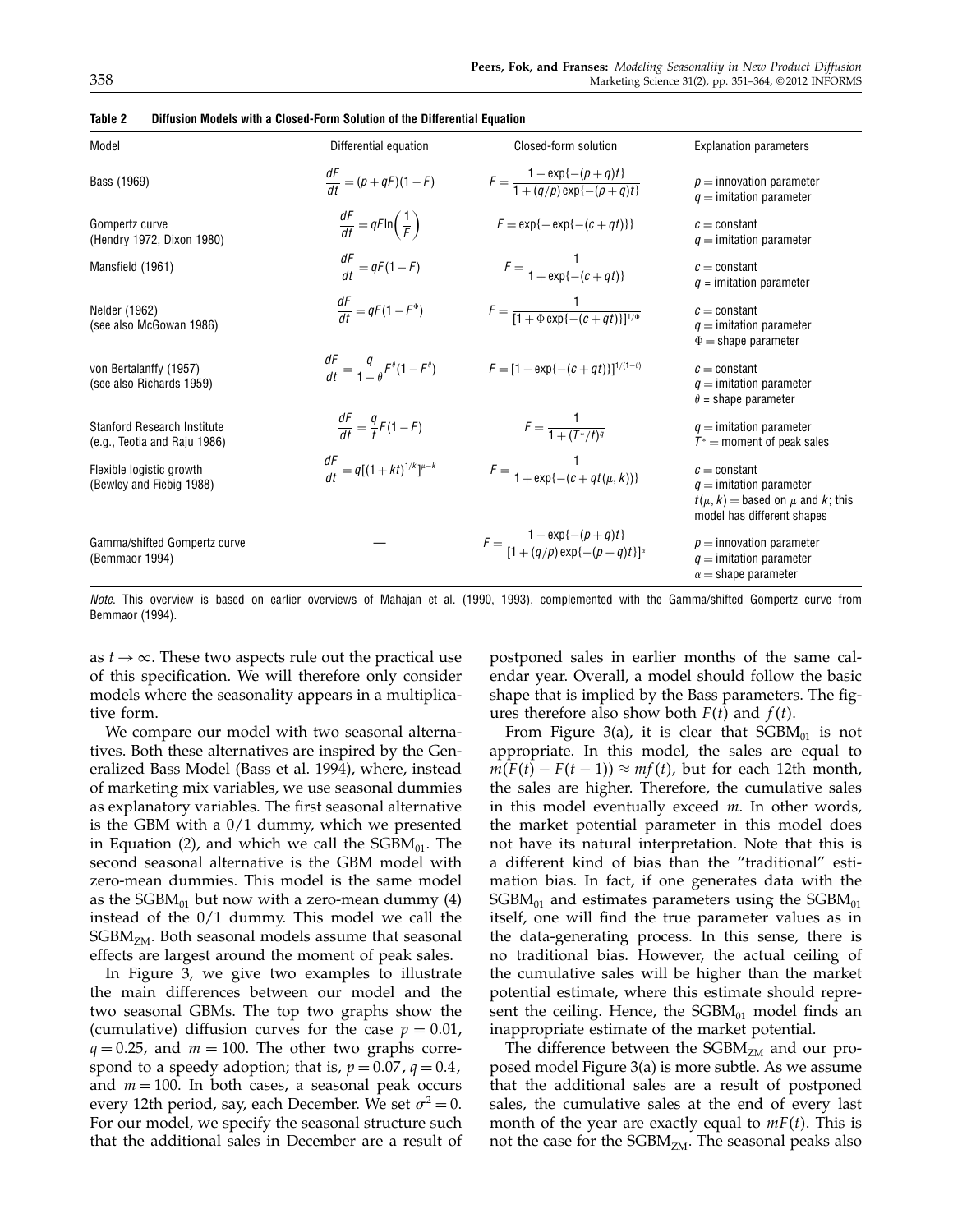| Model                                                              | Differential equation                                   | Closed-form solution                                                   | <b>Explanation parameters</b>                                                                                         |
|--------------------------------------------------------------------|---------------------------------------------------------|------------------------------------------------------------------------|-----------------------------------------------------------------------------------------------------------------------|
| Bass (1969)                                                        | $\frac{dF}{dt} = (p + qF)(1 - F)$                       | $F = \frac{1 - \exp\{-(p+q)t\}}{1 + (q/p)\exp\{-(p+q)t\}}$             | $p =$ innovation parameter<br>$q =$ imitation parameter                                                               |
| Gompertz curve<br>(Hendry 1972, Dixon 1980)                        | $\frac{dF}{dt} = qF \ln\left(\frac{1}{F}\right)$        | $F = \exp\{-\exp\{-(c+qt)\}\}\$                                        | $c = constant$<br>$q =$ imitation parameter                                                                           |
| Mansfield (1961)                                                   | $\frac{dF}{dt} = qF(1 - F)$                             | $F = \frac{1}{1 + \exp\{-(c + at)\}}$                                  | $c = constant$<br>$q =$ imitation parameter                                                                           |
| Nelder (1962)<br>(see also McGowan 1986)                           | $\frac{dF}{dt} = qF(1 - F^{\Phi})$                      | $F = \frac{1}{[1 + \Phi \exp\{-(c + at)\}]^{1/\Phi}}$                  | $c = constant$<br>$q =$ imitation parameter<br>$\Phi =$ shape parameter                                               |
| von Bertalanffy (1957)<br>(see also Richards 1959)                 | $\frac{dF}{dt} = \frac{q}{1-q}F^{\theta}(1-F^{\theta})$ | $F = [1 - \exp{-(c+qt)}]^{1/(1-\theta)}$                               | $c = constant$<br>$q =$ imitation parameter<br>$\theta$ = shape parameter                                             |
| <b>Stanford Research Institute</b><br>(e.g., Teotia and Raju 1986) | $\frac{dF}{dt} = \frac{q}{t}F(1 - F)$                   | $F = \frac{1}{1 + (T^*/t)^q}$                                          | $q =$ imitation parameter<br>$T^*$ = moment of peak sales                                                             |
| Flexible logistic growth<br>(Bewley and Fiebig 1988)               | $\frac{dF}{dt} = q[(1+kt)^{1/k}]^{\mu-k}$               | $F = \frac{1}{1 + \exp\{-(c + qt(\mu, k))\}}$                          | $c = constant$<br>$q =$ imitation parameter<br>$t(\mu, k)$ = based on $\mu$ and k; this<br>model has different shapes |
| Gamma/shifted Gompertz curve<br>(Bemmaor 1994)                     |                                                         | $F = \frac{1 - \exp\{-(p+q)t\}}{[1 + (a/p) \exp\{-(p+q)t\}]^{\alpha}}$ | $p =$ innovation parameter<br>$q =$ imitation parameter<br>$\alpha$ = shape parameter                                 |

Table 2 Diffusion Models with a Closed-Form Solution of the Differential Equation

Note. This overview is based on earlier overviews of Mahajan et al. (1990, 1993), complemented with the Gamma/shifted Gompertz curve from Bemmaor (1994).

as  $t \rightarrow \infty$ . These two aspects rule out the practical use of this specification. We will therefore only consider models where the seasonality appears in a multiplicative form.

We compare our model with two seasonal alternatives. Both these alternatives are inspired by the Generalized Bass Model (Bass et al. 1994), where, instead of marketing mix variables, we use seasonal dummies as explanatory variables. The first seasonal alternative is the GBM with a 0/1 dummy, which we presented in Equation (2), and which we call the  $SGBM_{01}$ . The second seasonal alternative is the GBM model with zero-mean dummies. This model is the same model as the  $SGBM_{01}$  but now with a zero-mean dummy (4) instead of the 0/1 dummy. This model we call the  $SGBM<sub>ZM</sub>$ . Both seasonal models assume that seasonal effects are largest around the moment of peak sales.

In Figure 3, we give two examples to illustrate the main differences between our model and the two seasonal GBMs. The top two graphs show the (cumulative) diffusion curves for the case  $p = 0.01$ ,  $q = 0.25$ , and  $m = 100$ . The other two graphs correspond to a speedy adoption; that is,  $p = 0.07$ ,  $q = 0.4$ , and  $m = 100$ . In both cases, a seasonal peak occurs every 12th period, say, each December. We set  $\sigma^2 = 0$ . For our model, we specify the seasonal structure such that the additional sales in December are a result of postponed sales in earlier months of the same calendar year. Overall, a model should follow the basic shape that is implied by the Bass parameters. The figures therefore also show both  $F(t)$  and  $f(t)$ .

From Figure 3(a), it is clear that  $SGBM_{01}$  is not appropriate. In this model, the sales are equal to  $m(F(t) - F(t-1)) \approx mf(t)$ , but for each 12th month, the sales are higher. Therefore, the cumulative sales in this model eventually exceed m. In other words, the market potential parameter in this model does not have its natural interpretation. Note that this is a different kind of bias than the "traditional" estimation bias. In fact, if one generates data with the  $SGBM_{01}$  and estimates parameters using the  $SGBM_{01}$ itself, one will find the true parameter values as in the data-generating process. In this sense, there is no traditional bias. However, the actual ceiling of the cumulative sales will be higher than the market potential estimate, where this estimate should represent the ceiling. Hence, the  $SGBM_{01}$  model finds an inappropriate estimate of the market potential.

The difference between the  $SGBM<sub>ZM</sub>$  and our proposed model Figure 3(a) is more subtle. As we assume that the additional sales are a result of postponed sales, the cumulative sales at the end of every last month of the year are exactly equal to  $mF(t)$ . This is not the case for the  $SGBM<sub>ZM</sub>$ . The seasonal peaks also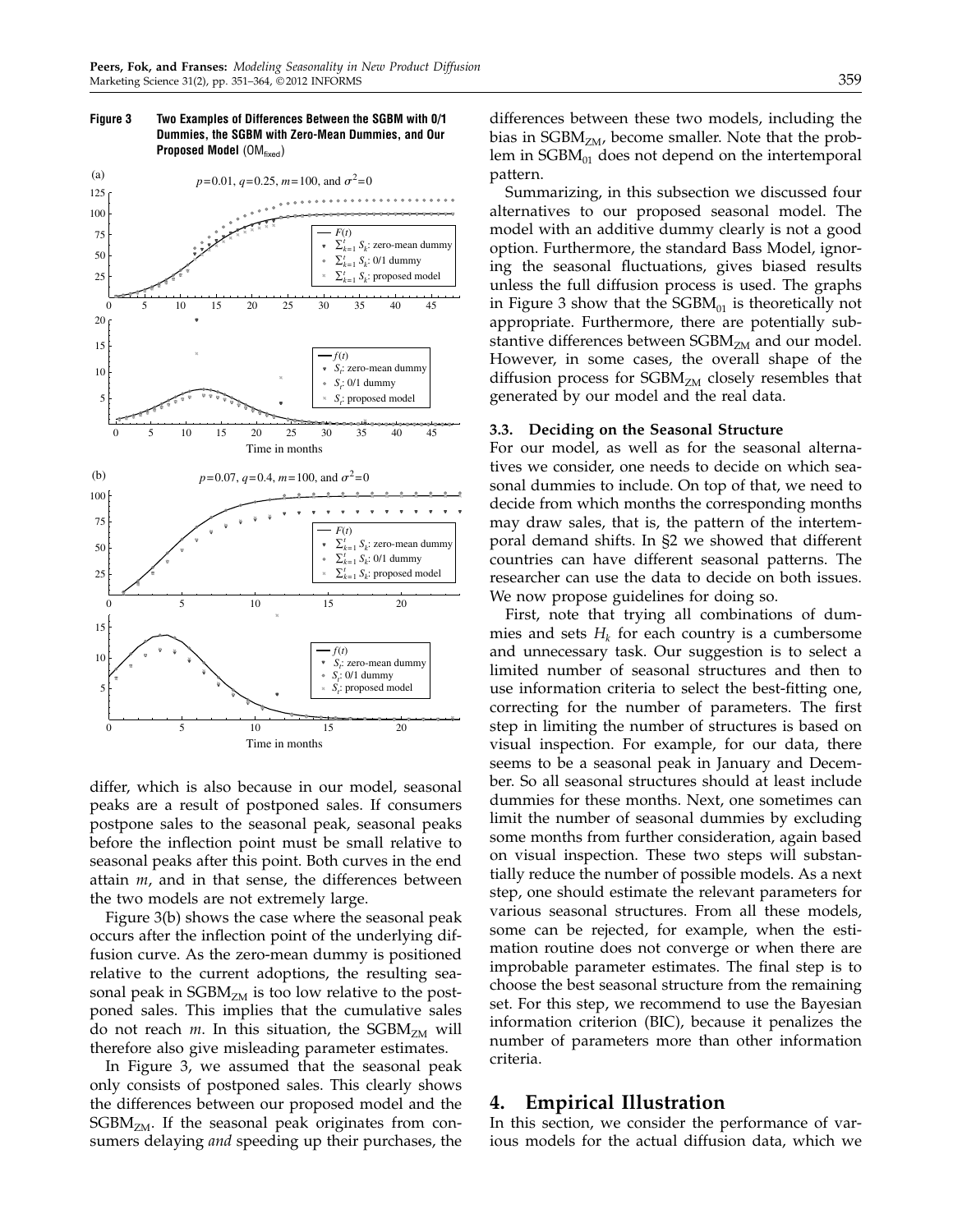

#### Figure 3 Two Examples of Differences Between the SGBM with 0/1 Dummies, the SGBM with Zero-Mean Dummies, and Our **Proposed Model**  $(OM_{fixed})$

differ, which is also because in our model, seasonal peaks are a result of postponed sales. If consumers postpone sales to the seasonal peak, seasonal peaks before the inflection point must be small relative to seasonal peaks after this point. Both curves in the end attain  $m$ , and in that sense, the differences between the two models are not extremely large.

Figure 3(b) shows the case where the seasonal peak occurs after the inflection point of the underlying diffusion curve. As the zero-mean dummy is positioned relative to the current adoptions, the resulting seasonal peak in  $SGBM<sub>ZM</sub>$  is too low relative to the postponed sales. This implies that the cumulative sales do not reach *m*. In this situation, the  $SGBM<sub>ZM</sub>$  will therefore also give misleading parameter estimates.

In Figure 3, we assumed that the seasonal peak only consists of postponed sales. This clearly shows the differences between our proposed model and the  $SGBM<sub>ZM</sub>$ . If the seasonal peak originates from consumers delaying *and* speeding up their purchases, the differences between these two models, including the bias in  $SGBM<sub>ZM</sub>$ , become smaller. Note that the problem in  $SGBM_{01}$  does not depend on the intertemporal pattern.

Summarizing, in this subsection we discussed four alternatives to our proposed seasonal model. The model with an additive dummy clearly is not a good option. Furthermore, the standard Bass Model, ignoring the seasonal fluctuations, gives biased results unless the full diffusion process is used. The graphs in Figure 3 show that the  $SGBM_{01}$  is theoretically not appropriate. Furthermore, there are potentially substantive differences between  $SGBM<sub>ZM</sub>$  and our model. However, in some cases, the overall shape of the diffusion process for  $SGBM<sub>ZM</sub>$  closely resembles that generated by our model and the real data.

#### 3.3. Deciding on the Seasonal Structure

For our model, as well as for the seasonal alternatives we consider, one needs to decide on which seasonal dummies to include. On top of that, we need to decide from which months the corresponding months may draw sales, that is, the pattern of the intertemporal demand shifts. In §2 we showed that different countries can have different seasonal patterns. The researcher can use the data to decide on both issues. We now propose guidelines for doing so.

First, note that trying all combinations of dummies and sets  $H_k$  for each country is a cumbersome and unnecessary task. Our suggestion is to select a limited number of seasonal structures and then to use information criteria to select the best-fitting one, correcting for the number of parameters. The first step in limiting the number of structures is based on visual inspection. For example, for our data, there seems to be a seasonal peak in January and December. So all seasonal structures should at least include dummies for these months. Next, one sometimes can limit the number of seasonal dummies by excluding some months from further consideration, again based on visual inspection. These two steps will substantially reduce the number of possible models. As a next step, one should estimate the relevant parameters for various seasonal structures. From all these models, some can be rejected, for example, when the estimation routine does not converge or when there are improbable parameter estimates. The final step is to choose the best seasonal structure from the remaining set. For this step, we recommend to use the Bayesian information criterion (BIC), because it penalizes the number of parameters more than other information criteria.

### 4. Empirical Illustration

In this section, we consider the performance of various models for the actual diffusion data, which we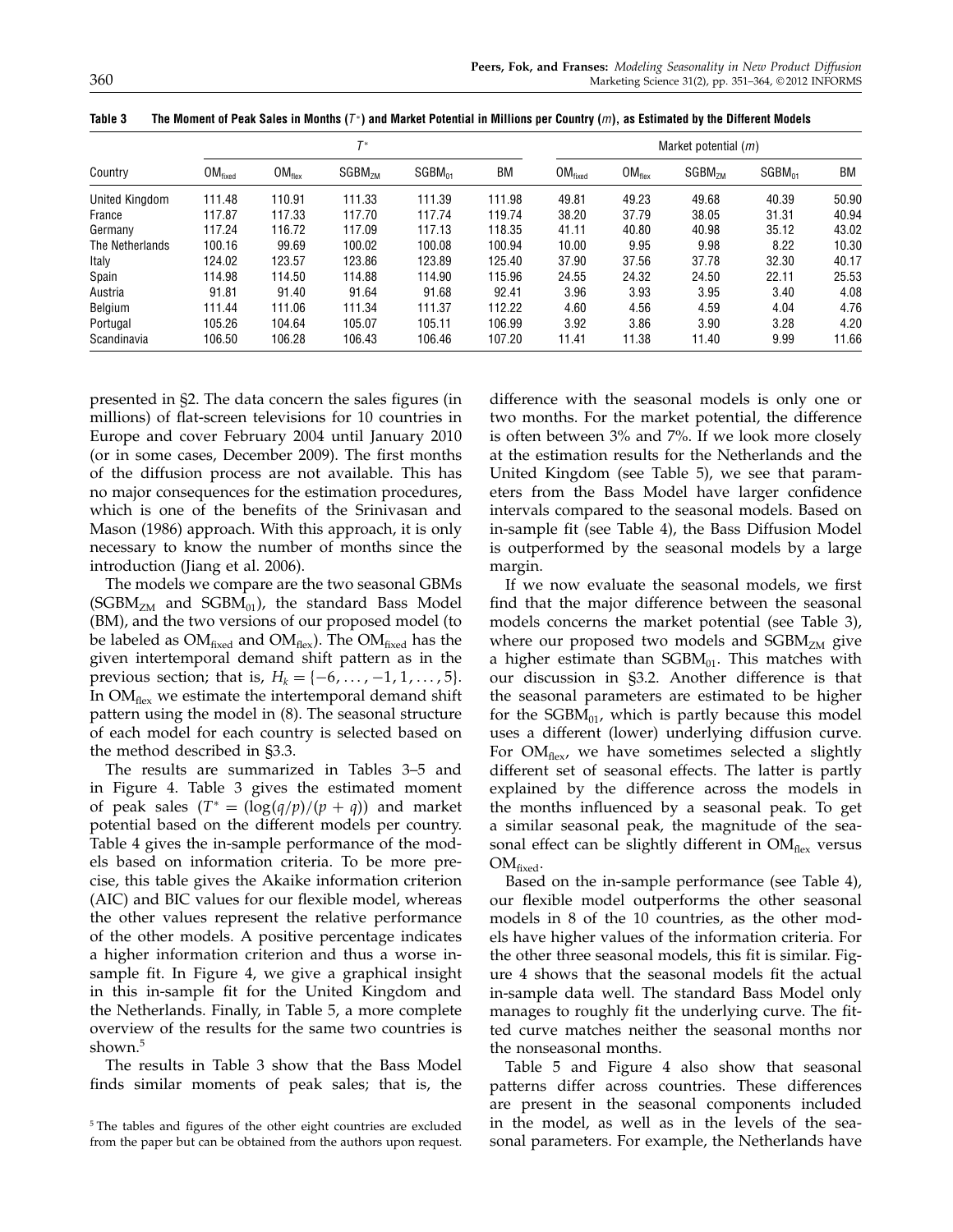| Country         |              | $T^*$       |                    | Market potential $(m)$ |        |                     |                    |                    |             |       |
|-----------------|--------------|-------------|--------------------|------------------------|--------|---------------------|--------------------|--------------------|-------------|-------|
|                 | $OM_{fixed}$ | $OM_{flex}$ | SGBM <sub>7M</sub> | $SGBM_{01}$            | ВM     | OM <sub>fixed</sub> | OM <sub>flex</sub> | SGBM <sub>7M</sub> | $SGBM_{01}$ | ВM    |
| United Kingdom  | 111.48       | 110.91      | 111.33             | 111.39                 | 111.98 | 49.81               | 49.23              | 49.68              | 40.39       | 50.90 |
| France          | 117.87       | 117.33      | 117.70             | 117.74                 | 119.74 | 38.20               | 37.79              | 38.05              | 31.31       | 40.94 |
| Germany         | 117.24       | 116.72      | 117.09             | 117.13                 | 118.35 | 41.11               | 40.80              | 40.98              | 35.12       | 43.02 |
| The Netherlands | 100.16       | 99.69       | 100.02             | 100.08                 | 100.94 | 10.00               | 9.95               | 9.98               | 8.22        | 10.30 |
| Italy           | 124.02       | 123.57      | 123.86             | 123.89                 | 125.40 | 37.90               | 37.56              | 37.78              | 32.30       | 40.17 |
| Spain           | 114.98       | 114.50      | 114.88             | 114.90                 | 115.96 | 24.55               | 24.32              | 24.50              | 22.11       | 25.53 |
| Austria         | 91.81        | 91.40       | 91.64              | 91.68                  | 92.41  | 3.96                | 3.93               | 3.95               | 3.40        | 4.08  |
| Belgium         | 111.44       | 111.06      | 111.34             | 111.37                 | 112.22 | 4.60                | 4.56               | 4.59               | 4.04        | 4.76  |
| Portugal        | 105.26       | 104.64      | 105.07             | 105.11                 | 106.99 | 3.92                | 3.86               | 3.90               | 3.28        | 4.20  |
| Scandinavia     | 106.50       | 106.28      | 106.43             | 106.46                 | 107.20 | 11.41               | 11.38              | 11.40              | 9.99        | 11.66 |

Table 3  $\;$  The Moment of Peak Sales in Months ( $7\degree$ ) and Market Potential in Millions per Country ( $m$ ), as Estimated by the Different Models

presented in §2. The data concern the sales figures (in millions) of flat-screen televisions for 10 countries in Europe and cover February 2004 until January 2010 (or in some cases, December 2009). The first months of the diffusion process are not available. This has no major consequences for the estimation procedures, which is one of the benefits of the Srinivasan and Mason (1986) approach. With this approach, it is only necessary to know the number of months since the introduction (Jiang et al. 2006).

The models we compare are the two seasonal GBMs (SGBM<sub>ZM</sub> and SGBM<sub>01</sub>), the standard Bass Model (BM), and the two versions of our proposed model (to be labeled as  $OM_{fixed}$  and  $OM_{flex}$ ). The  $OM_{fixed}$  has the given intertemporal demand shift pattern as in the previous section; that is,  $H_k = \{-6, \ldots, -1, 1, \ldots, 5\}.$ In  $OM_{\text{flex}}$  we estimate the intertemporal demand shift pattern using the model in (8). The seasonal structure of each model for each country is selected based on the method described in §3.3.

The results are summarized in Tables 3–5 and in Figure 4. Table 3 gives the estimated moment of peak sales  $(T^* = (\log(q/p)/(p + q))$  and market potential based on the different models per country. Table 4 gives the in-sample performance of the models based on information criteria. To be more precise, this table gives the Akaike information criterion (AIC) and BIC values for our flexible model, whereas the other values represent the relative performance of the other models. A positive percentage indicates a higher information criterion and thus a worse insample fit. In Figure 4, we give a graphical insight in this in-sample fit for the United Kingdom and the Netherlands. Finally, in Table 5, a more complete overview of the results for the same two countries is shown.<sup>5</sup>

The results in Table 3 show that the Bass Model finds similar moments of peak sales; that is, the difference with the seasonal models is only one or two months. For the market potential, the difference is often between 3% and 7%. If we look more closely at the estimation results for the Netherlands and the United Kingdom (see Table 5), we see that parameters from the Bass Model have larger confidence intervals compared to the seasonal models. Based on in-sample fit (see Table 4), the Bass Diffusion Model is outperformed by the seasonal models by a large margin.

If we now evaluate the seasonal models, we first find that the major difference between the seasonal models concerns the market potential (see Table 3), where our proposed two models and  $SGBM<sub>ZM</sub>$  give a higher estimate than  $SGBM_{01}$ . This matches with our discussion in §3.2. Another difference is that the seasonal parameters are estimated to be higher for the  $SGBM_{01}$ , which is partly because this model uses a different (lower) underlying diffusion curve. For  $OM_{flex}$ , we have sometimes selected a slightly different set of seasonal effects. The latter is partly explained by the difference across the models in the months influenced by a seasonal peak. To get a similar seasonal peak, the magnitude of the seasonal effect can be slightly different in  $OM<sub>flex</sub>$  versus  $OM_{fixed}$ .

Based on the in-sample performance (see Table 4), our flexible model outperforms the other seasonal models in 8 of the 10 countries, as the other models have higher values of the information criteria. For the other three seasonal models, this fit is similar. Figure 4 shows that the seasonal models fit the actual in-sample data well. The standard Bass Model only manages to roughly fit the underlying curve. The fitted curve matches neither the seasonal months nor the nonseasonal months.

Table 5 and Figure 4 also show that seasonal patterns differ across countries. These differences are present in the seasonal components included in the model, as well as in the levels of the seasonal parameters. For example, the Netherlands have

<sup>&</sup>lt;sup>5</sup> The tables and figures of the other eight countries are excluded from the paper but can be obtained from the authors upon request.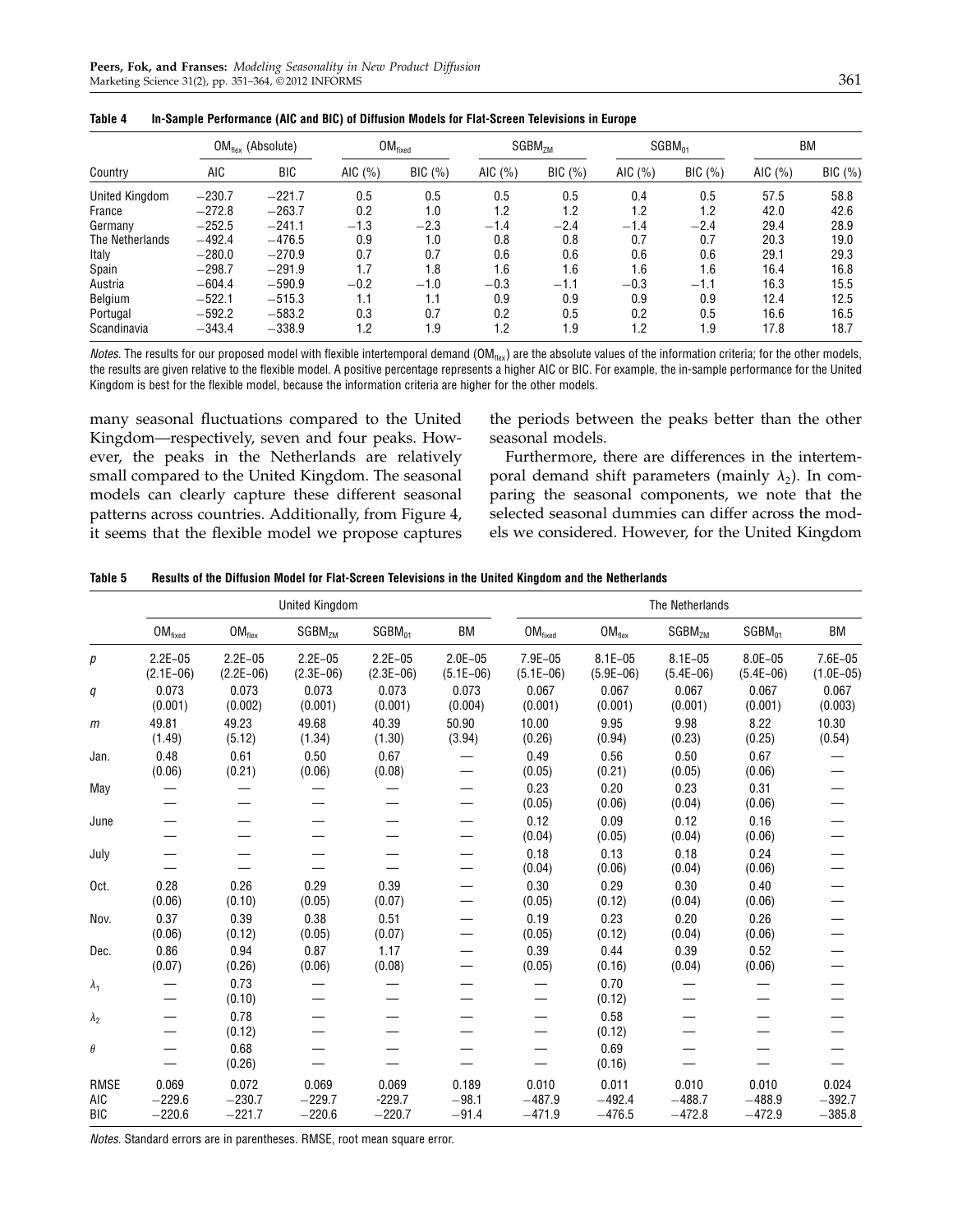| Country         | $OM_{flex}$ (Absolute) |            | OM <sub>fixed</sub> |        | SGBM <sub>ZM</sub> |        | $SGBM_{01}$ |        | BM        |               |
|-----------------|------------------------|------------|---------------------|--------|--------------------|--------|-------------|--------|-----------|---------------|
|                 | AIC                    | <b>BIC</b> | AIC $(%)$           | BIC(%) | AIC $(\% )$        | BIC(%) | AIC $(\% )$ | BIC(%) | AIC $(%)$ | $BIC$ $(\% )$ |
| United Kingdom  | $-230.7$               | $-221.7$   | 0.5                 | 0.5    | 0.5                | 0.5    | 0.4         | 0.5    | 57.5      | 58.8          |
| France          | $-272.8$               | $-263.7$   | 0.2                 | 1.0    | 1.2                | 1.2    | 1.2         | 1.2    | 42.0      | 42.6          |
| Germany         | $-252.5$               | $-241.1$   | $-1.3$              | $-2.3$ | $-1.4$             | $-2.4$ | $-1.4$      | $-2.4$ | 29.4      | 28.9          |
| The Netherlands | $-492.4$               | $-476.5$   | 0.9                 | 1.0    | 0.8                | 0.8    | 0.7         | 0.7    | 20.3      | 19.0          |
| Italy           | $-280.0$               | $-270.9$   | 0.7                 | 0.7    | 0.6                | 0.6    | 0.6         | 0.6    | 29.1      | 29.3          |
| Spain           | $-298.7$               | $-291.9$   | 1.7                 | 1.8    | 1.6                | 1.6    | 1.6         | 1.6    | 16.4      | 16.8          |
| Austria         | $-604.4$               | $-590.9$   | $-0.2$              | $-1.0$ | $-0.3$             | $-1.1$ | $-0.3$      | $-1.1$ | 16.3      | 15.5          |
| Belgium         | $-522.1$               | $-515.3$   | 1.1                 | 1.1    | 0.9                | 0.9    | 0.9         | 0.9    | 12.4      | 12.5          |
| Portugal        | $-592.2$               | $-583.2$   | 0.3                 | 0.7    | 0.2                | 0.5    | 0.2         | 0.5    | 16.6      | 16.5          |
| Scandinavia     | $-343.4$               | $-338.9$   | 1.2                 | 1.9    | 1.2                | 1.9    | 1.2         | 1.9    | 17.8      | 18.7          |

| Table 4 |  | In-Sample Performance (AIC and BIC) of Diffusion Models for Flat-Screen Televisions in Europe |  |
|---------|--|-----------------------------------------------------------------------------------------------|--|
|---------|--|-----------------------------------------------------------------------------------------------|--|

Notes. The results for our proposed model with flexible intertemporal demand (OM<sub>flex</sub>) are the absolute values of the information criteria; for the other models, the results are given relative to the flexible model. A positive percentage represents a higher AIC or BIC. For example, the in-sample performance for the United Kingdom is best for the flexible model, because the information criteria are higher for the other models.

many seasonal fluctuations compared to the United Kingdom—respectively, seven and four peaks. However, the peaks in the Netherlands are relatively small compared to the United Kingdom. The seasonal models can clearly capture these different seasonal patterns across countries. Additionally, from Figure 4, it seems that the flexible model we propose captures

the periods between the peaks better than the other seasonal models.

Furthermore, there are differences in the intertemporal demand shift parameters (mainly  $\lambda_2$ ). In comparing the seasonal components, we note that the selected seasonal dummies can differ across the models we considered. However, for the United Kingdom

| Table 5 |  | Results of the Diffusion Model for Flat-Screen Televisions in the United Kingdom and the Netherlands |
|---------|--|------------------------------------------------------------------------------------------------------|
|---------|--|------------------------------------------------------------------------------------------------------|

|                                  | <b>United Kingdom</b>          |                               |                               |                               |                             |                                |                               | The Netherlands               |                               |                               |  |  |
|----------------------------------|--------------------------------|-------------------------------|-------------------------------|-------------------------------|-----------------------------|--------------------------------|-------------------------------|-------------------------------|-------------------------------|-------------------------------|--|--|
|                                  | $\mathsf{OM}_{\mathsf{fixed}}$ | $OM_{flex}$                   | SGBM <sub>ZM</sub>            | $SGBM_{01}$                   | BM                          | $\mathsf{OM}_{\mathsf{fixed}}$ | $OM_{flex}$                   | SGBM <sub>7M</sub>            | $SGBM_{01}$                   | BM                            |  |  |
| р                                | $2.2E - 05$<br>$(2.1E-06)$     | $2.2E - 05$<br>$(2.2E-06)$    | $2.2E - 05$<br>$(2.3E-06)$    | $2.2E - 05$<br>$(2.3E-06)$    | $2.0E - 05$<br>$(5.1E-06)$  | 7.9E-05<br>$(5.1E-06)$         | $8.1E - 05$<br>$(5.9E-06)$    | $8.1E - 05$<br>$(5.4E-06)$    | 8.0E-05<br>$(5.4E-06)$        | 7.6E-05<br>$(1.0E-05)$        |  |  |
| q                                | 0.073<br>(0.001)               | 0.073<br>(0.002)              | 0.073<br>(0.001)              | 0.073<br>(0.001)              | 0.073<br>(0.004)            | 0.067<br>(0.001)               | 0.067<br>(0.001)              | 0.067<br>(0.001)              | 0.067<br>(0.001)              | 0.067<br>(0.003)              |  |  |
| $m$                              | 49.81<br>(1.49)                | 49.23<br>(5.12)               | 49.68<br>(1.34)               | 40.39<br>(1.30)               | 50.90<br>(3.94)             | 10.00<br>(0.26)                | 9.95<br>(0.94)                | 9.98<br>(0.23)                | 8.22<br>(0.25)                | 10.30<br>(0.54)               |  |  |
| Jan.                             | 0.48<br>(0.06)                 | 0.61<br>(0.21)                | 0.50<br>(0.06)                | 0.67<br>(0.08)                |                             | 0.49<br>(0.05)                 | 0.56<br>(0.21)                | 0.50<br>(0.05)                | 0.67<br>(0.06)                |                               |  |  |
| May                              |                                |                               |                               |                               |                             | 0.23<br>(0.05)                 | 0.20<br>(0.06)                | 0.23<br>(0.04)                | 0.31<br>(0.06)                |                               |  |  |
| June                             |                                |                               |                               |                               |                             | 0.12<br>(0.04)                 | 0.09<br>(0.05)                | 0.12<br>(0.04)                | 0.16<br>(0.06)                |                               |  |  |
| July                             |                                |                               |                               |                               |                             | 0.18<br>(0.04)                 | 0.13<br>(0.06)                | 0.18<br>(0.04)                | 0.24<br>(0.06)                |                               |  |  |
| Oct.                             | 0.28<br>(0.06)                 | 0.26<br>(0.10)                | 0.29<br>(0.05)                | 0.39<br>(0.07)                |                             | 0.30<br>(0.05)                 | 0.29<br>(0.12)                | 0.30<br>(0.04)                | 0.40<br>(0.06)                |                               |  |  |
| Nov.                             | 0.37<br>(0.06)                 | 0.39<br>(0.12)                | 0.38<br>(0.05)                | 0.51<br>(0.07)                |                             | 0.19<br>(0.05)                 | 0.23<br>(0.12)                | 0.20<br>(0.04)                | 0.26<br>(0.06)                |                               |  |  |
| Dec.                             | 0.86<br>(0.07)                 | 0.94<br>(0.26)                | 0.87<br>(0.06)                | 1.17<br>(0.08)                |                             | 0.39<br>(0.05)                 | 0.44<br>(0.16)                | 0.39<br>(0.04)                | 0.52<br>(0.06)                |                               |  |  |
| $\lambda_1$                      |                                | 0.73<br>(0.10)                |                               |                               |                             |                                | 0.70<br>(0.12)                |                               |                               |                               |  |  |
| $\lambda_2$                      |                                | 0.78<br>(0.12)                |                               |                               |                             |                                | 0.58<br>(0.12)                |                               |                               |                               |  |  |
| $\theta$                         |                                | 0.68<br>(0.26)                |                               |                               |                             |                                | 0.69<br>(0.16)                |                               |                               |                               |  |  |
| <b>RMSE</b><br>AIC<br><b>BIC</b> | 0.069<br>$-229.6$<br>$-220.6$  | 0.072<br>$-230.7$<br>$-221.7$ | 0.069<br>$-229.7$<br>$-220.6$ | 0.069<br>$-229.7$<br>$-220.7$ | 0.189<br>$-98.1$<br>$-91.4$ | 0.010<br>$-487.9$<br>$-471.9$  | 0.011<br>$-492.4$<br>$-476.5$ | 0.010<br>$-488.7$<br>$-472.8$ | 0.010<br>$-488.9$<br>$-472.9$ | 0.024<br>$-392.7$<br>$-385.8$ |  |  |

Notes. Standard errors are in parentheses. RMSE, root mean square error.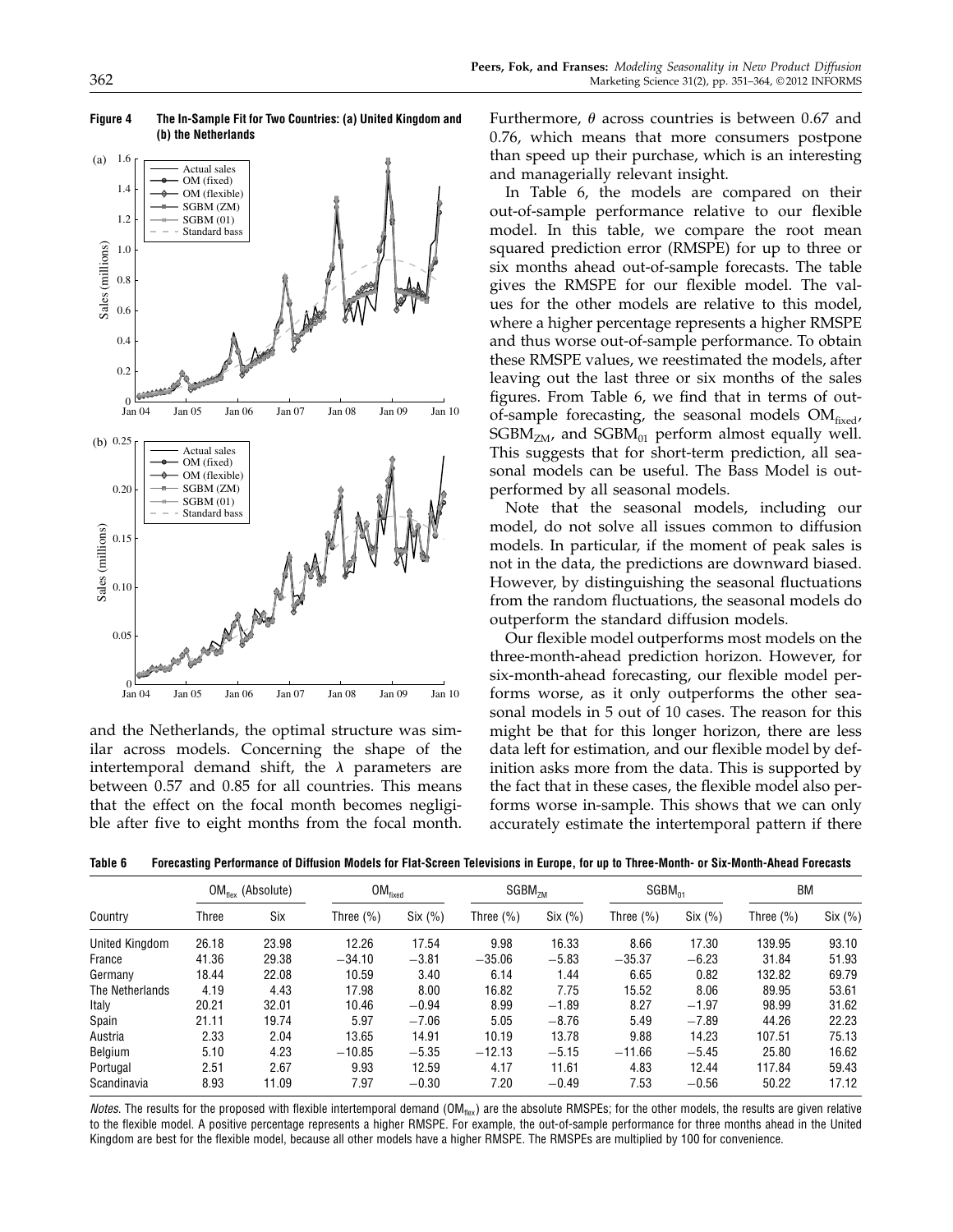

Figure 4 The In-Sample Fit for Two Countries: (a) United Kingdom and (b) the Netherlands

and the Netherlands, the optimal structure was similar across models. Concerning the shape of the intertemporal demand shift, the  $\lambda$  parameters are between 0.57 and 0.85 for all countries. This means that the effect on the focal month becomes negligible after five to eight months from the focal month.

Furthermore,  $\theta$  across countries is between 0.67 and 0.76, which means that more consumers postpone than speed up their purchase, which is an interesting and managerially relevant insight.

In Table 6, the models are compared on their out-of-sample performance relative to our flexible model. In this table, we compare the root mean squared prediction error (RMSPE) for up to three or six months ahead out-of-sample forecasts. The table gives the RMSPE for our flexible model. The values for the other models are relative to this model, where a higher percentage represents a higher RMSPE and thus worse out-of-sample performance. To obtain these RMSPE values, we reestimated the models, after leaving out the last three or six months of the sales figures. From Table 6, we find that in terms of outof-sample forecasting, the seasonal models  $OM_{fixed}$ ,  $SGBM<sub>ZM</sub>$ , and  $SGBM<sub>01</sub>$  perform almost equally well. This suggests that for short-term prediction, all seasonal models can be useful. The Bass Model is outperformed by all seasonal models.

Note that the seasonal models, including our model, do not solve all issues common to diffusion models. In particular, if the moment of peak sales is not in the data, the predictions are downward biased. However, by distinguishing the seasonal fluctuations from the random fluctuations, the seasonal models do outperform the standard diffusion models.

Our flexible model outperforms most models on the three-month-ahead prediction horizon. However, for six-month-ahead forecasting, our flexible model performs worse, as it only outperforms the other seasonal models in 5 out of 10 cases. The reason for this might be that for this longer horizon, there are less data left for estimation, and our flexible model by definition asks more from the data. This is supported by the fact that in these cases, the flexible model also performs worse in-sample. This shows that we can only accurately estimate the intertemporal pattern if there

Table 6 Forecasting Performance of Diffusion Models for Flat-Screen Televisions in Europe, for up to Three-Month- or Six-Month-Ahead Forecasts

| Country         | $OM_{\text{flow}}$ (Absolute) |       | OM <sub>fixed</sub> |         | SGBM <sub>7M</sub> |         | $SGBM_{01}$   |         | BM            |         |
|-----------------|-------------------------------|-------|---------------------|---------|--------------------|---------|---------------|---------|---------------|---------|
|                 | Three                         | Six   | Three (%)           | Six (%) | Three $(\%)$       | Six (%) | Three $(\% )$ | Six (%) | Three $(\% )$ | Six (%) |
| United Kingdom  | 26.18                         | 23.98 | 12.26               | 17.54   | 9.98               | 16.33   | 8.66          | 17.30   | 139.95        | 93.10   |
| France          | 41.36                         | 29.38 | $-34.10$            | $-3.81$ | $-35.06$           | $-5.83$ | $-35.37$      | $-6.23$ | 31.84         | 51.93   |
| Germany         | 18.44                         | 22.08 | 10.59               | 3.40    | 6.14               | 1.44    | 6.65          | 0.82    | 132.82        | 69.79   |
| The Netherlands | 4.19                          | 4.43  | 17.98               | 8.00    | 16.82              | 7.75    | 15.52         | 8.06    | 89.95         | 53.61   |
| Italy           | 20.21                         | 32.01 | 10.46               | $-0.94$ | 8.99               | $-1.89$ | 8.27          | $-1.97$ | 98.99         | 31.62   |
| Spain           | 21.11                         | 19.74 | 5.97                | $-7.06$ | 5.05               | $-8.76$ | 5.49          | $-7.89$ | 44.26         | 22.23   |
| Austria         | 2.33                          | 2.04  | 13.65               | 14.91   | 10.19              | 13.78   | 9.88          | 14.23   | 107.51        | 75.13   |
| Belgium         | 5.10                          | 4.23  | $-10.85$            | $-5.35$ | $-12.13$           | $-5.15$ | $-11.66$      | $-5.45$ | 25.80         | 16.62   |
| Portugal        | 2.51                          | 2.67  | 9.93                | 12.59   | 4.17               | 11.61   | 4.83          | 12.44   | 117.84        | 59.43   |
| Scandinavia     | 8.93                          | 11.09 | 7.97                | $-0.30$ | 7.20               | $-0.49$ | 7.53          | $-0.56$ | 50.22         | 17.12   |

Notes. The results for the proposed with flexible intertemporal demand (OM<sub>flex</sub>) are the absolute RMSPEs; for the other models, the results are given relative to the flexible model. A positive percentage represents a higher RMSPE. For example, the out-of-sample performance for three months ahead in the United Kingdom are best for the flexible model, because all other models have a higher RMSPE. The RMSPEs are multiplied by 100 for convenience.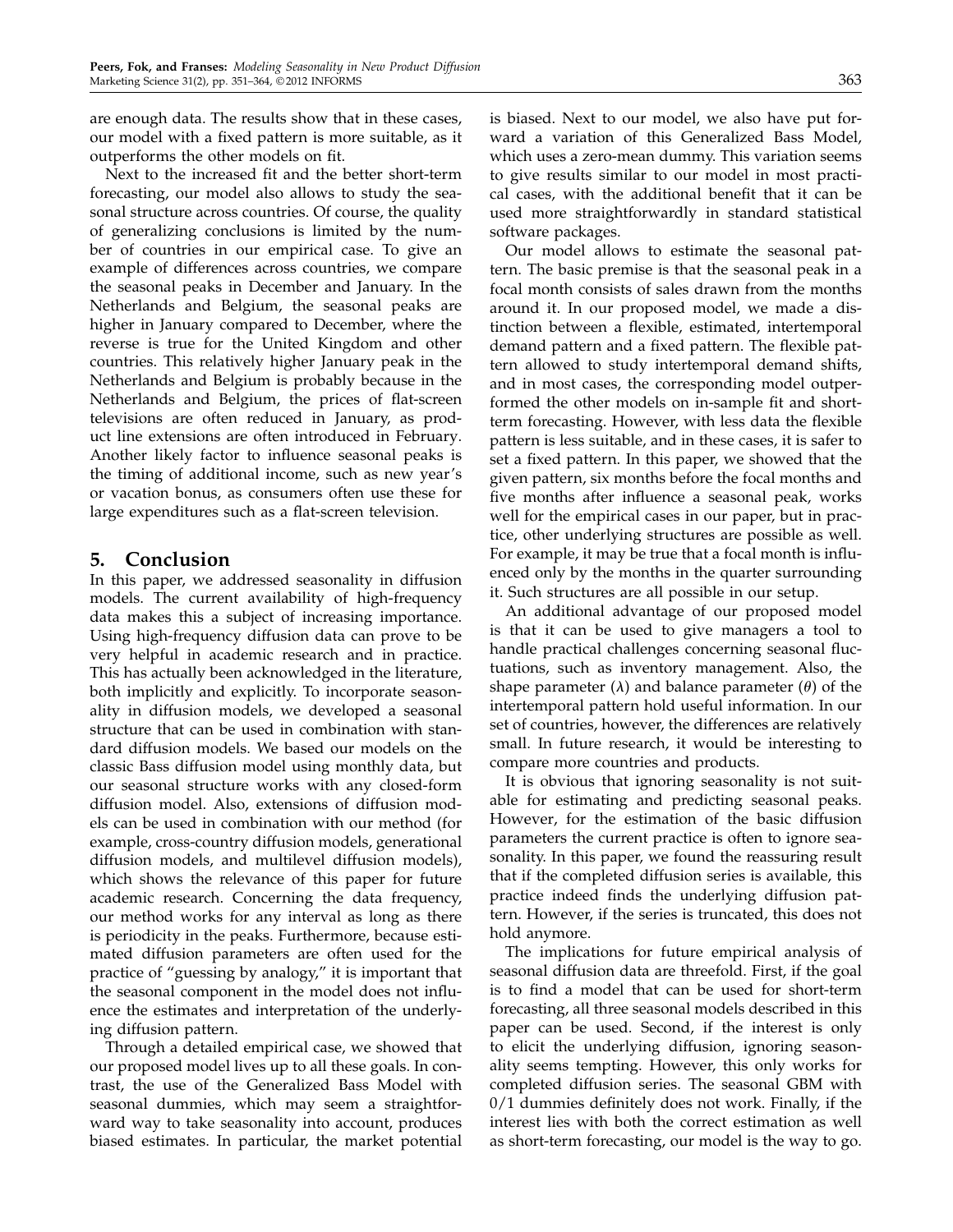are enough data. The results show that in these cases, our model with a fixed pattern is more suitable, as it outperforms the other models on fit.

Next to the increased fit and the better short-term forecasting, our model also allows to study the seasonal structure across countries. Of course, the quality of generalizing conclusions is limited by the number of countries in our empirical case. To give an example of differences across countries, we compare the seasonal peaks in December and January. In the Netherlands and Belgium, the seasonal peaks are higher in January compared to December, where the reverse is true for the United Kingdom and other countries. This relatively higher January peak in the Netherlands and Belgium is probably because in the Netherlands and Belgium, the prices of flat-screen televisions are often reduced in January, as product line extensions are often introduced in February. Another likely factor to influence seasonal peaks is the timing of additional income, such as new year's or vacation bonus, as consumers often use these for large expenditures such as a flat-screen television.

## 5. Conclusion

In this paper, we addressed seasonality in diffusion models. The current availability of high-frequency data makes this a subject of increasing importance. Using high-frequency diffusion data can prove to be very helpful in academic research and in practice. This has actually been acknowledged in the literature, both implicitly and explicitly. To incorporate seasonality in diffusion models, we developed a seasonal structure that can be used in combination with standard diffusion models. We based our models on the classic Bass diffusion model using monthly data, but our seasonal structure works with any closed-form diffusion model. Also, extensions of diffusion models can be used in combination with our method (for example, cross-country diffusion models, generational diffusion models, and multilevel diffusion models), which shows the relevance of this paper for future academic research. Concerning the data frequency, our method works for any interval as long as there is periodicity in the peaks. Furthermore, because estimated diffusion parameters are often used for the practice of "guessing by analogy," it is important that the seasonal component in the model does not influence the estimates and interpretation of the underlying diffusion pattern.

Through a detailed empirical case, we showed that our proposed model lives up to all these goals. In contrast, the use of the Generalized Bass Model with seasonal dummies, which may seem a straightforward way to take seasonality into account, produces biased estimates. In particular, the market potential is biased. Next to our model, we also have put forward a variation of this Generalized Bass Model, which uses a zero-mean dummy. This variation seems to give results similar to our model in most practical cases, with the additional benefit that it can be used more straightforwardly in standard statistical software packages.

Our model allows to estimate the seasonal pattern. The basic premise is that the seasonal peak in a focal month consists of sales drawn from the months around it. In our proposed model, we made a distinction between a flexible, estimated, intertemporal demand pattern and a fixed pattern. The flexible pattern allowed to study intertemporal demand shifts, and in most cases, the corresponding model outperformed the other models on in-sample fit and shortterm forecasting. However, with less data the flexible pattern is less suitable, and in these cases, it is safer to set a fixed pattern. In this paper, we showed that the given pattern, six months before the focal months and five months after influence a seasonal peak, works well for the empirical cases in our paper, but in practice, other underlying structures are possible as well. For example, it may be true that a focal month is influenced only by the months in the quarter surrounding it. Such structures are all possible in our setup.

An additional advantage of our proposed model is that it can be used to give managers a tool to handle practical challenges concerning seasonal fluctuations, such as inventory management. Also, the shape parameter  $(\lambda)$  and balance parameter  $(\theta)$  of the intertemporal pattern hold useful information. In our set of countries, however, the differences are relatively small. In future research, it would be interesting to compare more countries and products.

It is obvious that ignoring seasonality is not suitable for estimating and predicting seasonal peaks. However, for the estimation of the basic diffusion parameters the current practice is often to ignore seasonality. In this paper, we found the reassuring result that if the completed diffusion series is available, this practice indeed finds the underlying diffusion pattern. However, if the series is truncated, this does not hold anymore.

The implications for future empirical analysis of seasonal diffusion data are threefold. First, if the goal is to find a model that can be used for short-term forecasting, all three seasonal models described in this paper can be used. Second, if the interest is only to elicit the underlying diffusion, ignoring seasonality seems tempting. However, this only works for completed diffusion series. The seasonal GBM with 0/1 dummies definitely does not work. Finally, if the interest lies with both the correct estimation as well as short-term forecasting, our model is the way to go.